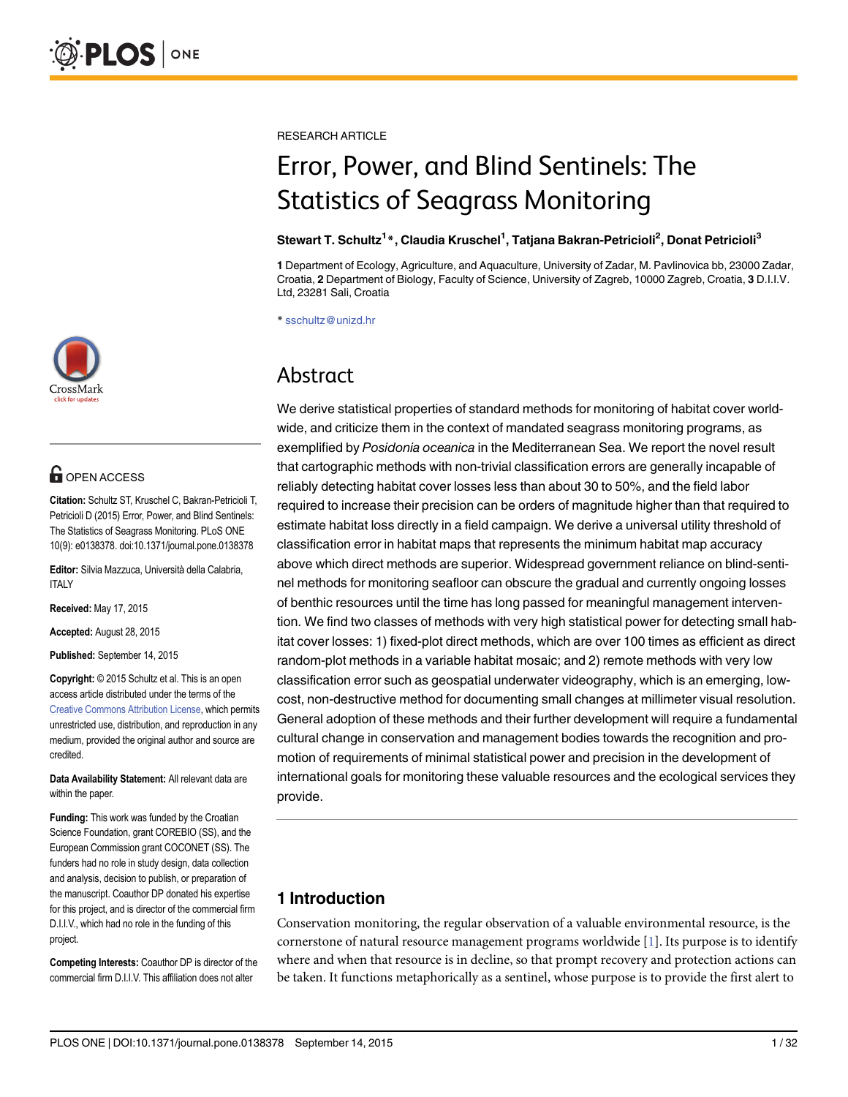

# **G** OPEN ACCESS

Citation: Schultz ST, Kruschel C, Bakran-Petricioli T, Petricioli D (2015) Error, Power, and Blind Sentinels: The Statistics of Seagrass Monitoring. PLoS ONE 10(9): e0138378. doi:10.1371/journal.pone.0138378

Editor: Silvia Mazzuca, Università della Calabria, ITALY

Received: May 17, 2015

Accepted: August 28, 2015

Published: September 14, 2015

Copyright: © 2015 Schultz et al. This is an open access article distributed under the terms of the [Creative Commons Attribution License,](http://creativecommons.org/licenses/by/4.0/) which permits unrestricted use, distribution, and reproduction in any medium, provided the original author and source are credited.

Data Availability Statement: All relevant data are within the paper.

Funding: This work was funded by the Croatian Science Foundation, grant COREBIO (SS), and the European Commission grant COCONET (SS). The funders had no role in study design, data collection and analysis, decision to publish, or preparation of the manuscript. Coauthor DP donated his expertise for this project, and is director of the commercial firm D.I.I.V., which had no role in the funding of this project.

Competing Interests: Coauthor DP is director of the commercial firm D.I.I.V. This affiliation does not alter

<span id="page-0-0"></span>RESEARCH ARTICLE

# Error, Power, and Blind Sentinels: The Statistics of Seagrass Monitoring

#### Stewart T. Schultz<sup>1</sup>\*, Claudia Kruschel<sup>1</sup>, Tatjana Bakran-Petricioli<sup>2</sup>, Donat Petricioli<sup>3</sup>

1 Department of Ecology, Agriculture, and Aquaculture, University of Zadar, M. Pavlinovica bb, 23000 Zadar, Croatia, 2 Department of Biology, Faculty of Science, University of Zagreb, 10000 Zagreb, Croatia, 3 D.I.I.V. Ltd, 23281 Sali, Croatia

\* sschultz@unizd.hr

# Abstract

We derive statistical properties of standard methods for monitoring of habitat cover worldwide, and criticize them in the context of mandated seagrass monitoring programs, as exemplified by Posidonia oceanica in the Mediterranean Sea. We report the novel result that cartographic methods with non-trivial classification errors are generally incapable of reliably detecting habitat cover losses less than about 30 to 50%, and the field labor required to increase their precision can be orders of magnitude higher than that required to estimate habitat loss directly in a field campaign. We derive a universal utility threshold of classification error in habitat maps that represents the minimum habitat map accuracy above which direct methods are superior. Widespread government reliance on blind-sentinel methods for monitoring seafloor can obscure the gradual and currently ongoing losses of benthic resources until the time has long passed for meaningful management intervention. We find two classes of methods with very high statistical power for detecting small habitat cover losses: 1) fixed-plot direct methods, which are over 100 times as efficient as direct random-plot methods in a variable habitat mosaic; and 2) remote methods with very low classification error such as geospatial underwater videography, which is an emerging, lowcost, non-destructive method for documenting small changes at millimeter visual resolution. General adoption of these methods and their further development will require a fundamental cultural change in conservation and management bodies towards the recognition and promotion of requirements of minimal statistical power and precision in the development of international goals for monitoring these valuable resources and the ecological services they provide.

# 1 Introduction

Conservation monitoring, the regular observation of a valuable environmental resource, is the cornerstone of natural resource management programs worldwide  $[1]$  $[1]$ . Its purpose is to identify where and when that resource is in decline, so that prompt recovery and protection actions can be taken. It functions metaphorically as a sentinel, whose purpose is to provide the first alert to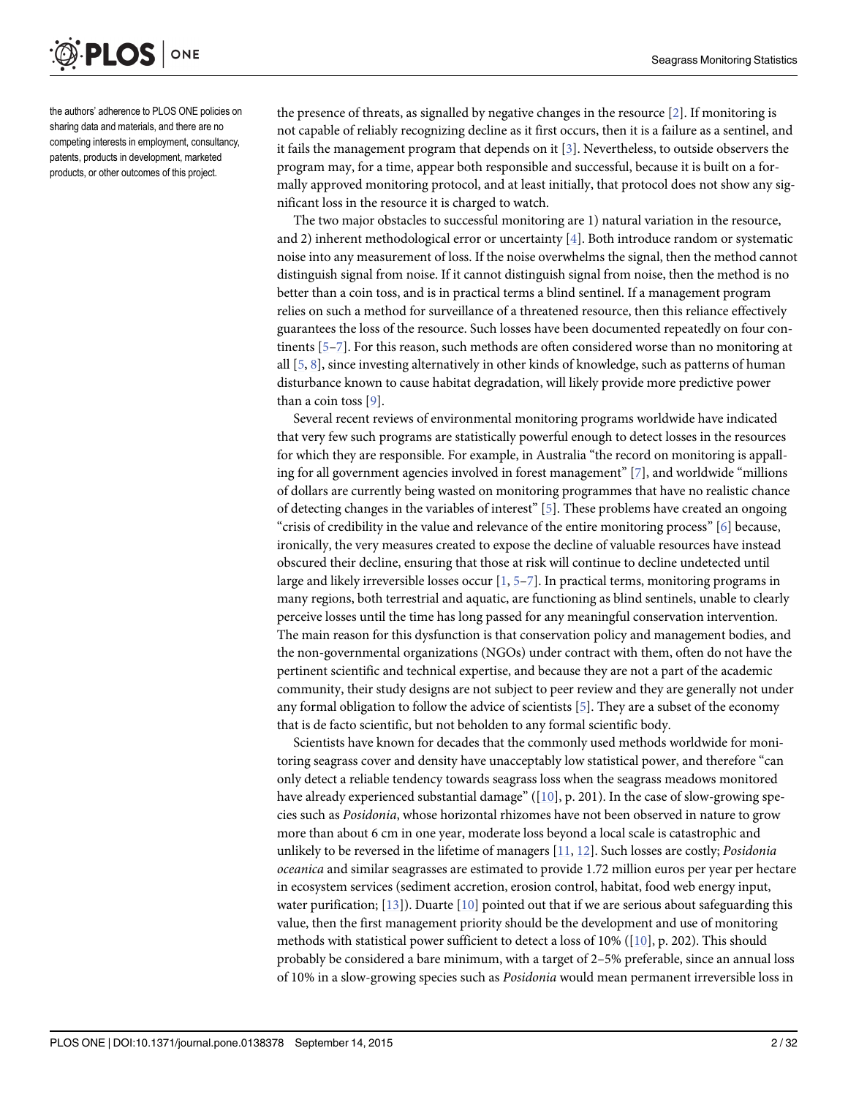<span id="page-1-0"></span>

the authors' adherence to PLOS ONE policies on sharing data and materials, and there are no competing interests in employment, consultancy, patents, products in development, marketed products, or other outcomes of this project.

the presence of threats, as signalled by negative changes in the resource [[2\]](#page-27-0). If monitoring is not capable of reliably recognizing decline as it first occurs, then it is a failure as a sentinel, and it fails the management program that depends on it  $[3]$  $[3]$ . Nevertheless, to outside observers the program may, for a time, appear both responsible and successful, because it is built on a formally approved monitoring protocol, and at least initially, that protocol does not show any significant loss in the resource it is charged to watch.

The two major obstacles to successful monitoring are 1) natural variation in the resource, and 2) inherent methodological error or uncertainty [[4\]](#page-27-0). Both introduce random or systematic noise into any measurement of loss. If the noise overwhelms the signal, then the method cannot distinguish signal from noise. If it cannot distinguish signal from noise, then the method is no better than a coin toss, and is in practical terms a blind sentinel. If a management program relies on such a method for surveillance of a threatened resource, then this reliance effectively guarantees the loss of the resource. Such losses have been documented repeatedly on four continents [[5](#page-27-0)–[7\]](#page-27-0). For this reason, such methods are often considered worse than no monitoring at all  $[5, 8]$  $[5, 8]$  $[5, 8]$ , since investing alternatively in other kinds of knowledge, such as patterns of human disturbance known to cause habitat degradation, will likely provide more predictive power than a coin toss [\[9](#page-27-0)].

Several recent reviews of environmental monitoring programs worldwide have indicated that very few such programs are statistically powerful enough to detect losses in the resources for which they are responsible. For example, in Australia "the record on monitoring is appalling for all government agencies involved in forest management"  $[7]$  $[7]$ , and worldwide "millions" of dollars are currently being wasted on monitoring programmes that have no realistic chance of detecting changes in the variables of interest" [\[5\]](#page-27-0). These problems have created an ongoing "crisis of credibility in the value and relevance of the entire monitoring process" [\[6](#page-27-0)] because, ironically, the very measures created to expose the decline of valuable resources have instead obscured their decline, ensuring that those at risk will continue to decline undetected until large and likely irreversible losses occur  $[1, 5-7]$  $[1, 5-7]$  $[1, 5-7]$  $[1, 5-7]$  $[1, 5-7]$  $[1, 5-7]$ . In practical terms, monitoring programs in many regions, both terrestrial and aquatic, are functioning as blind sentinels, unable to clearly perceive losses until the time has long passed for any meaningful conservation intervention. The main reason for this dysfunction is that conservation policy and management bodies, and the non-governmental organizations (NGOs) under contract with them, often do not have the pertinent scientific and technical expertise, and because they are not a part of the academic community, their study designs are not subject to peer review and they are generally not under any formal obligation to follow the advice of scientists  $[5]$  $[5]$  $[5]$ . They are a subset of the economy that is de facto scientific, but not beholden to any formal scientific body.

Scientists have known for decades that the commonly used methods worldwide for monitoring seagrass cover and density have unacceptably low statistical power, and therefore "can only detect a reliable tendency towards seagrass loss when the seagrass meadows monitored have already experienced substantial damage" ( $[10]$  $[10]$  $[10]$ , p. 201). In the case of slow-growing species such as Posidonia, whose horizontal rhizomes have not been observed in nature to grow more than about 6 cm in one year, moderate loss beyond a local scale is catastrophic and unlikely to be reversed in the lifetime of managers  $[11, 12]$  $[11, 12]$  $[11, 12]$  $[11, 12]$  $[11, 12]$ . Such losses are costly; *Posidonia* oceanica and similar seagrasses are estimated to provide 1.72 million euros per year per hectare in ecosystem services (sediment accretion, erosion control, habitat, food web energy input, water purification;  $[13]$  $[13]$  $[13]$ ). Duarte  $[10]$  pointed out that if we are serious about safeguarding this value, then the first management priority should be the development and use of monitoring methods with statistical power sufficient to detect a loss of [10](#page-27-0)% ( $[10]$ , p. 202). This should probably be considered a bare minimum, with a target of 2–5% preferable, since an annual loss of 10% in a slow-growing species such as Posidonia would mean permanent irreversible loss in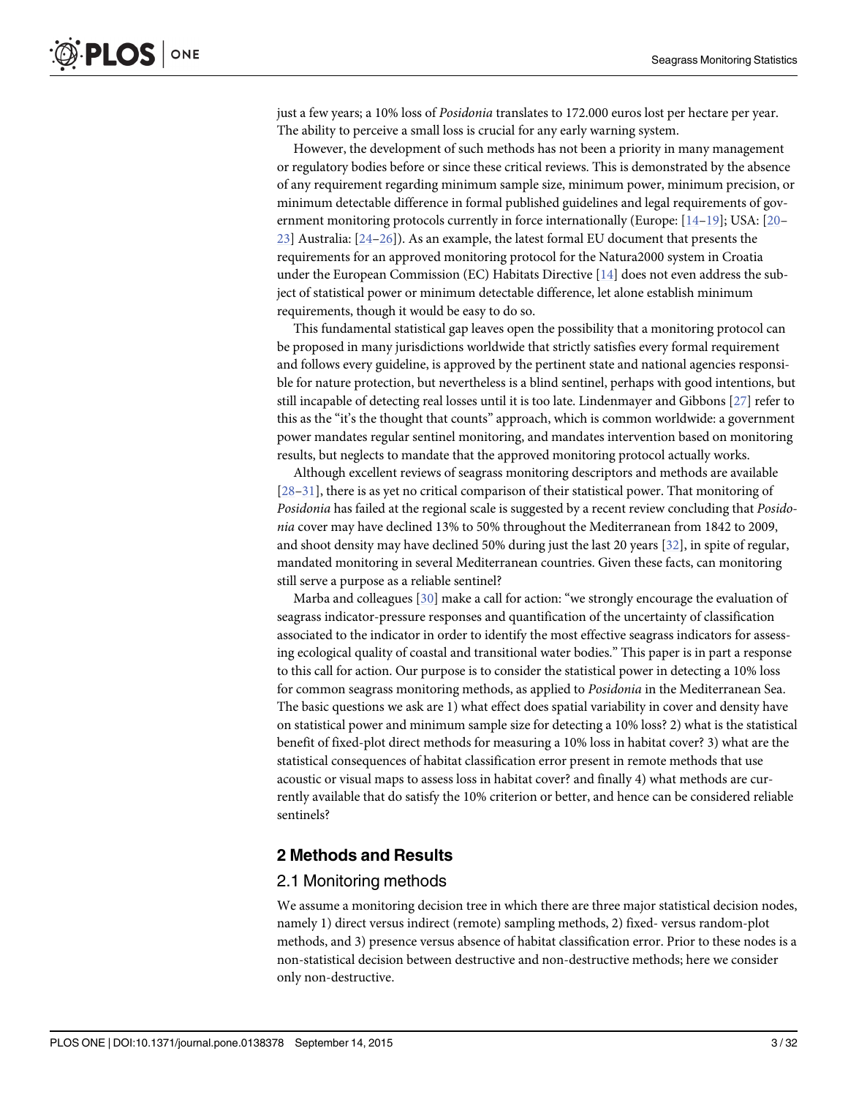<span id="page-2-0"></span>just a few years; a 10% loss of Posidonia translates to 172.000 euros lost per hectare per year. The ability to perceive a small loss is crucial for any early warning system.

However, the development of such methods has not been a priority in many management or regulatory bodies before or since these critical reviews. This is demonstrated by the absence of any requirement regarding minimum sample size, minimum power, minimum precision, or minimum detectable difference in formal published guidelines and legal requirements of gov-ernment monitoring protocols currently in force internationally (Europe: [\[14](#page-27-0)-[19\]](#page-27-0); USA: [\[20](#page-27-0)-[23\]](#page-28-0) Australia: [\[24](#page-28-0)–[26\]](#page-28-0)). As an example, the latest formal EU document that presents the requirements for an approved monitoring protocol for the Natura2000 system in Croatia under the European Commission (EC) Habitats Directive  $[14]$  $[14]$  $[14]$  does not even address the subject of statistical power or minimum detectable difference, let alone establish minimum requirements, though it would be easy to do so.

This fundamental statistical gap leaves open the possibility that a monitoring protocol can be proposed in many jurisdictions worldwide that strictly satisfies every formal requirement and follows every guideline, is approved by the pertinent state and national agencies responsible for nature protection, but nevertheless is a blind sentinel, perhaps with good intentions, but still incapable of detecting real losses until it is too late. Lindenmayer and Gibbons [[27](#page-28-0)] refer to this as the "it's the thought that counts" approach, which is common worldwide: a government power mandates regular sentinel monitoring, and mandates intervention based on monitoring results, but neglects to mandate that the approved monitoring protocol actually works.

Although excellent reviews of seagrass monitoring descriptors and methods are available [\[28](#page-28-0)–[31\]](#page-28-0), there is as yet no critical comparison of their statistical power. That monitoring of Posidonia has failed at the regional scale is suggested by a recent review concluding that Posidonia cover may have declined 13% to 50% throughout the Mediterranean from 1842 to 2009, and shoot density may have declined 50% during just the last 20 years [\[32\]](#page-28-0), in spite of regular, mandated monitoring in several Mediterranean countries. Given these facts, can monitoring still serve a purpose as a reliable sentinel?

Marba and colleagues [[30](#page-28-0)] make a call for action: "we strongly encourage the evaluation of seagrass indicator-pressure responses and quantification of the uncertainty of classification associated to the indicator in order to identify the most effective seagrass indicators for assessing ecological quality of coastal and transitional water bodies." This paper is in part a response to this call for action. Our purpose is to consider the statistical power in detecting a 10% loss for common seagrass monitoring methods, as applied to Posidonia in the Mediterranean Sea. The basic questions we ask are 1) what effect does spatial variability in cover and density have on statistical power and minimum sample size for detecting a 10% loss? 2) what is the statistical benefit of fixed-plot direct methods for measuring a 10% loss in habitat cover? 3) what are the statistical consequences of habitat classification error present in remote methods that use acoustic or visual maps to assess loss in habitat cover? and finally 4) what methods are currently available that do satisfy the 10% criterion or better, and hence can be considered reliable sentinels?

#### 2 Methods and Results

#### 2.1 Monitoring methods

We assume a monitoring decision tree in which there are three major statistical decision nodes, namely 1) direct versus indirect (remote) sampling methods, 2) fixed- versus random-plot methods, and 3) presence versus absence of habitat classification error. Prior to these nodes is a non-statistical decision between destructive and non-destructive methods; here we consider only non-destructive.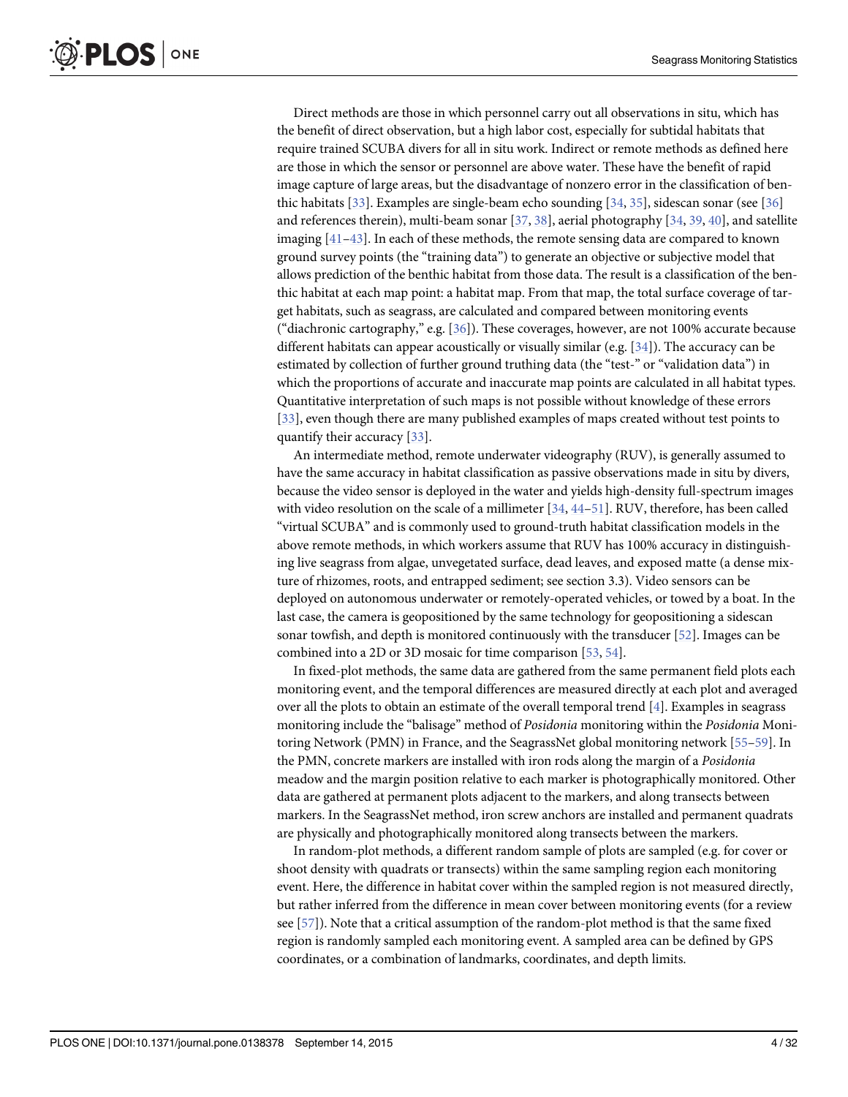<span id="page-3-0"></span>Direct methods are those in which personnel carry out all observations in situ, which has the benefit of direct observation, but a high labor cost, especially for subtidal habitats that require trained SCUBA divers for all in situ work. Indirect or remote methods as defined here are those in which the sensor or personnel are above water. These have the benefit of rapid image capture of large areas, but the disadvantage of nonzero error in the classification of benthic habitats  $[33]$ . Examples are single-beam echo sounding  $[34, 35]$  $[34, 35]$  $[34, 35]$  $[34, 35]$  $[34, 35]$ , sidescan sonar (see  $[36]$  $[36]$ and references therein), multi-beam sonar [[37](#page-28-0), [38](#page-28-0)], aerial photography [[34](#page-28-0), [39](#page-28-0), [40](#page-28-0)], and satellite imaging [[41](#page-28-0)–[43](#page-29-0)]. In each of these methods, the remote sensing data are compared to known ground survey points (the "training data") to generate an objective or subjective model that allows prediction of the benthic habitat from those data. The result is a classification of the benthic habitat at each map point: a habitat map. From that map, the total surface coverage of target habitats, such as seagrass, are calculated and compared between monitoring events ("diachronic cartography," e.g. [\[36\]](#page-28-0)). These coverages, however, are not 100% accurate because different habitats can appear acoustically or visually similar (e.g. [[34](#page-28-0)]). The accuracy can be estimated by collection of further ground truthing data (the "test-" or "validation data") in which the proportions of accurate and inaccurate map points are calculated in all habitat types. Quantitative interpretation of such maps is not possible without knowledge of these errors [\[33](#page-28-0)], even though there are many published examples of maps created without test points to quantify their accuracy [[33](#page-28-0)].

An intermediate method, remote underwater videography (RUV), is generally assumed to have the same accuracy in habitat classification as passive observations made in situ by divers, because the video sensor is deployed in the water and yields high-density full-spectrum images with video resolution on the scale of a millimeter [\[34](#page-28-0), [44](#page-29-0)–[51\]](#page-29-0). RUV, therefore, has been called "virtual SCUBA" and is commonly used to ground-truth habitat classification models in the above remote methods, in which workers assume that RUV has 100% accuracy in distinguishing live seagrass from algae, unvegetated surface, dead leaves, and exposed matte (a dense mixture of rhizomes, roots, and entrapped sediment; see section 3.3). Video sensors can be deployed on autonomous underwater or remotely-operated vehicles, or towed by a boat. In the last case, the camera is geopositioned by the same technology for geopositioning a sidescan sonar towfish, and depth is monitored continuously with the transducer [\[52\]](#page-29-0). Images can be combined into a 2D or 3D mosaic for time comparison [\[53,](#page-29-0) [54\]](#page-29-0).

In fixed-plot methods, the same data are gathered from the same permanent field plots each monitoring event, and the temporal differences are measured directly at each plot and averaged over all the plots to obtain an estimate of the overall temporal trend  $[4]$  $[4]$ . Examples in seagrass monitoring include the "balisage" method of Posidonia monitoring within the Posidonia Monitoring Network (PMN) in France, and the SeagrassNet global monitoring network [[55](#page-29-0)–[59\]](#page-29-0). In the PMN, concrete markers are installed with iron rods along the margin of a Posidonia meadow and the margin position relative to each marker is photographically monitored. Other data are gathered at permanent plots adjacent to the markers, and along transects between markers. In the SeagrassNet method, iron screw anchors are installed and permanent quadrats are physically and photographically monitored along transects between the markers.

In random-plot methods, a different random sample of plots are sampled (e.g. for cover or shoot density with quadrats or transects) within the same sampling region each monitoring event. Here, the difference in habitat cover within the sampled region is not measured directly, but rather inferred from the difference in mean cover between monitoring events (for a review see [[57](#page-29-0)]). Note that a critical assumption of the random-plot method is that the same fixed region is randomly sampled each monitoring event. A sampled area can be defined by GPS coordinates, or a combination of landmarks, coordinates, and depth limits.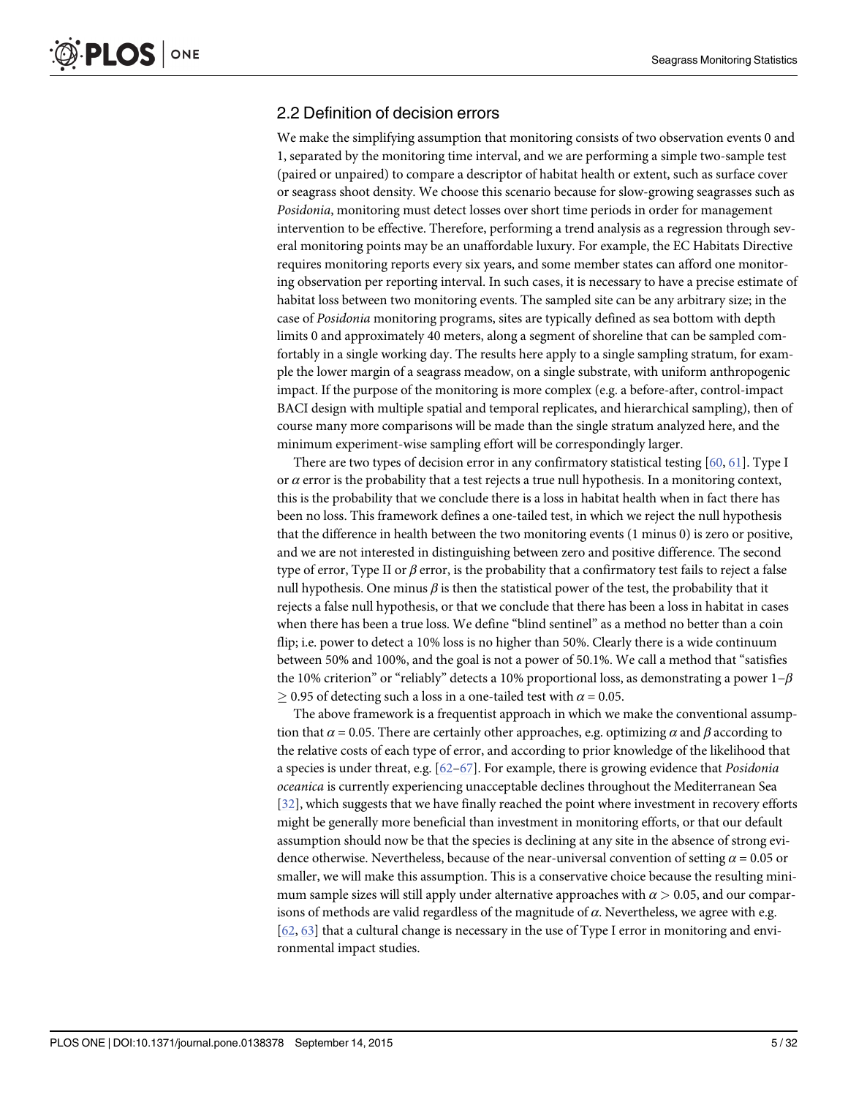#### <span id="page-4-0"></span>2.2 Definition of decision errors

We make the simplifying assumption that monitoring consists of two observation events 0 and 1, separated by the monitoring time interval, and we are performing a simple two-sample test (paired or unpaired) to compare a descriptor of habitat health or extent, such as surface cover or seagrass shoot density. We choose this scenario because for slow-growing seagrasses such as Posidonia, monitoring must detect losses over short time periods in order for management intervention to be effective. Therefore, performing a trend analysis as a regression through several monitoring points may be an unaffordable luxury. For example, the EC Habitats Directive requires monitoring reports every six years, and some member states can afford one monitoring observation per reporting interval. In such cases, it is necessary to have a precise estimate of habitat loss between two monitoring events. The sampled site can be any arbitrary size; in the case of Posidonia monitoring programs, sites are typically defined as sea bottom with depth limits 0 and approximately 40 meters, along a segment of shoreline that can be sampled comfortably in a single working day. The results here apply to a single sampling stratum, for example the lower margin of a seagrass meadow, on a single substrate, with uniform anthropogenic impact. If the purpose of the monitoring is more complex (e.g. a before-after, control-impact BACI design with multiple spatial and temporal replicates, and hierarchical sampling), then of course many more comparisons will be made than the single stratum analyzed here, and the minimum experiment-wise sampling effort will be correspondingly larger.

There are two types of decision error in any confirmatory statistical testing [\[60,](#page-29-0) [61\]](#page-29-0). Type I or  $\alpha$  error is the probability that a test rejects a true null hypothesis. In a monitoring context, this is the probability that we conclude there is a loss in habitat health when in fact there has been no loss. This framework defines a one-tailed test, in which we reject the null hypothesis that the difference in health between the two monitoring events (1 minus 0) is zero or positive, and we are not interested in distinguishing between zero and positive difference. The second type of error, Type II or  $\beta$  error, is the probability that a confirmatory test fails to reject a false null hypothesis. One minus  $\beta$  is then the statistical power of the test, the probability that it rejects a false null hypothesis, or that we conclude that there has been a loss in habitat in cases when there has been a true loss. We define "blind sentinel" as a method no better than a coin flip; i.e. power to detect a 10% loss is no higher than 50%. Clearly there is a wide continuum between 50% and 100%, and the goal is not a power of 50.1%. We call a method that "satisfies the 10% criterion" or "reliably" detects a 10% proportional loss, as demonstrating a power  $1-\beta$  $\geq$  0.95 of detecting such a loss in a one-tailed test with  $\alpha$  = 0.05.

The above framework is a frequentist approach in which we make the conventional assumption that  $\alpha$  = 0.05. There are certainly other approaches, e.g. optimizing  $\alpha$  and  $\beta$  according to the relative costs of each type of error, and according to prior knowledge of the likelihood that a species is under threat, e.g.  $[62-67]$  $[62-67]$  $[62-67]$ . For example, there is growing evidence that *Posidonia* oceanica is currently experiencing unacceptable declines throughout the Mediterranean Sea [\[32](#page-28-0)], which suggests that we have finally reached the point where investment in recovery efforts might be generally more beneficial than investment in monitoring efforts, or that our default assumption should now be that the species is declining at any site in the absence of strong evidence otherwise. Nevertheless, because of the near-universal convention of setting  $\alpha$  = 0.05 or smaller, we will make this assumption. This is a conservative choice because the resulting minimum sample sizes will still apply under alternative approaches with  $\alpha$   $>$  0.05, and our comparisons of methods are valid regardless of the magnitude of  $\alpha$ . Nevertheless, we agree with e.g. [\[62](#page-29-0), [63\]](#page-29-0) that a cultural change is necessary in the use of Type I error in monitoring and environmental impact studies.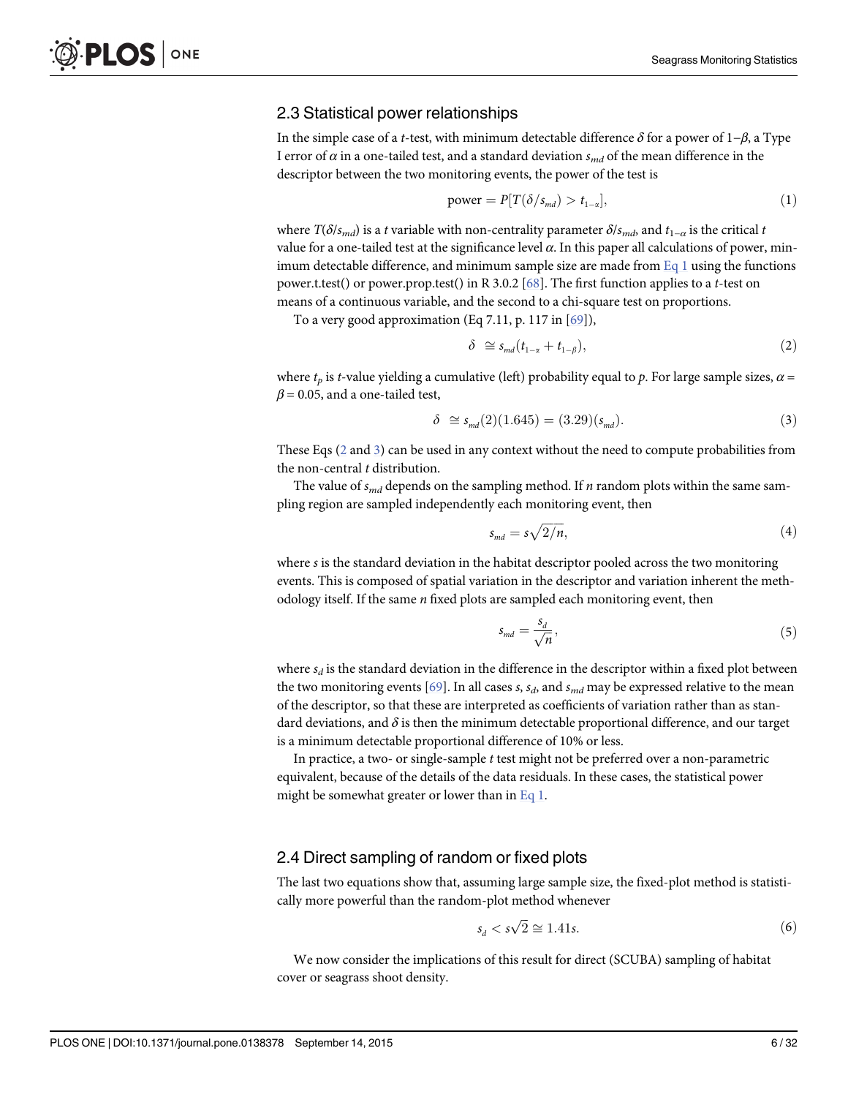#### <span id="page-5-0"></span>2.3 Statistical power relationships

In the simple case of a *t*-test, with minimum detectable difference  $\delta$  for a power of 1− $\beta$ , a Type I error of  $\alpha$  in a one-tailed test, and a standard deviation  $s_{md}$  of the mean difference in the descriptor between the two monitoring events, the power of the test is

$$
power = P[T(\delta/s_{md}) > t_{1-\alpha}], \tag{1}
$$

where  $T(\delta/s_{md})$  is a t variable with non-centrality parameter  $\delta/s_{md}$ , and  $t_{1-\alpha}$  is the critical t value for a one-tailed test at the significance level  $\alpha$ . In this paper all calculations of power, minimum detectable difference, and minimum sample size are made from  $Eq_1$  using the functions power.t.test() or power.prop.test() in R 3.0.2 [\[68\]](#page-30-0). The first function applies to a t-test on means of a continuous variable, and the second to a chi-square test on proportions.

To a very good approximation (Eq 7.11, p. 117 in  $[69]$  $[69]$  $[69]$ ),

$$
\delta \cong s_{md}(t_{1-\alpha} + t_{1-\beta}), \tag{2}
$$

where  $t_p$  is t-value yielding a cumulative (left) probability equal to p. For large sample sizes,  $\alpha$  =  $\beta$  = 0.05, and a one-tailed test,

$$
\delta \cong s_{md}(2)(1.645) = (3.29)(s_{md}). \tag{3}
$$

These Eqs  $(2 \text{ and } 3)$  can be used in any context without the need to compute probabilities from the non-central *t* distribution.

The value of  $s_{md}$  depends on the sampling method. If n random plots within the same sampling region are sampled independently each monitoring event, then

$$
s_{md} = s\sqrt{2/n},\tag{4}
$$

where s is the standard deviation in the habitat descriptor pooled across the two monitoring events. This is composed of spatial variation in the descriptor and variation inherent the methodology itself. If the same  $n$  fixed plots are sampled each monitoring event, then

$$
s_{md} = \frac{s_d}{\sqrt{n}},\tag{5}
$$

where  $s_d$  is the standard deviation in the difference in the descriptor within a fixed plot between the two monitoring events [\[69\]](#page-30-0). In all cases s,  $s_d$ , and  $s_{md}$  may be expressed relative to the mean of the descriptor, so that these are interpreted as coefficients of variation rather than as standard deviations, and  $\delta$  is then the minimum detectable proportional difference, and our target is a minimum detectable proportional difference of 10% or less.

In practice, a two- or single-sample t test might not be preferred over a non-parametric equivalent, because of the details of the data residuals. In these cases, the statistical power might be somewhat greater or lower than in  $\underline{\mathrm{Eq}\ 1}.$ 

#### 2.4 Direct sampling of random or fixed plots

The last two equations show that, assuming large sample size, the fixed-plot method is statistically more powerful than the random-plot method whenever

$$
s_d < s\sqrt{2} \cong 1.41s. \tag{6}
$$

We now consider the implications of this result for direct (SCUBA) sampling of habitat cover or seagrass shoot density.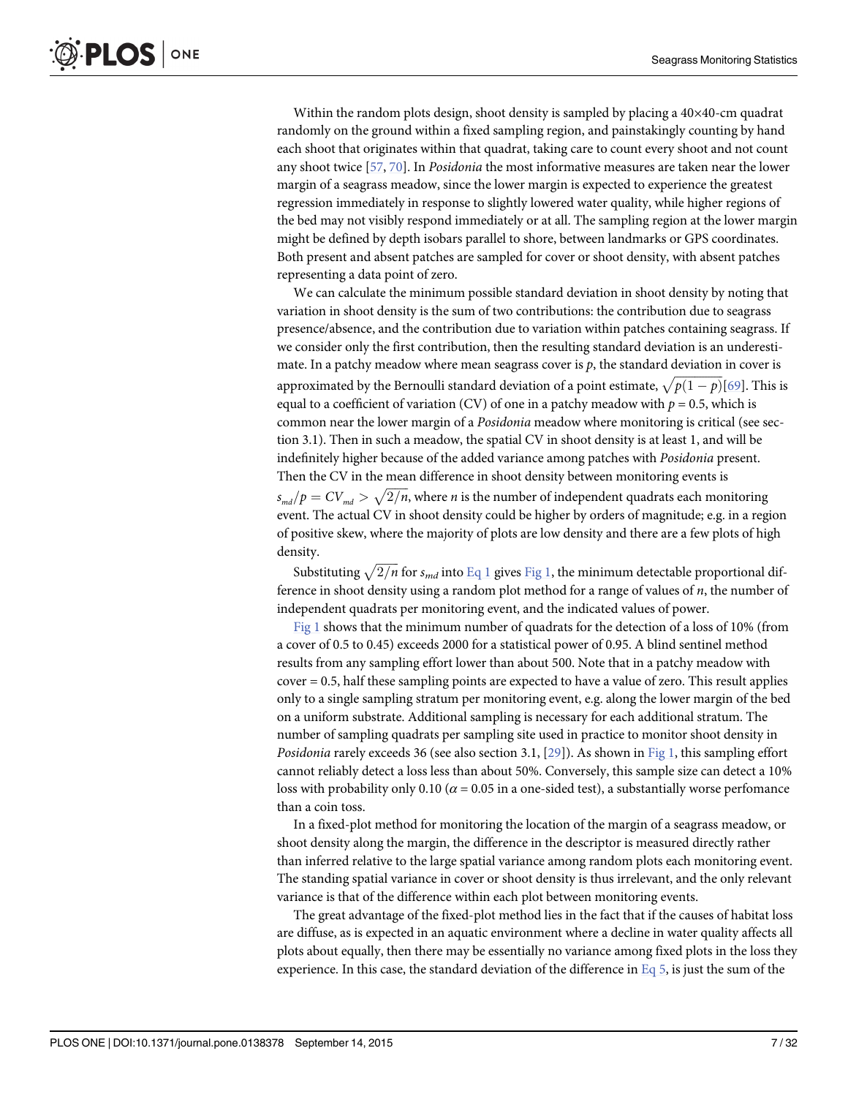<span id="page-6-0"></span>Within the random plots design, shoot density is sampled by placing a 40×40-cm quadrat randomly on the ground within a fixed sampling region, and painstakingly counting by hand each shoot that originates within that quadrat, taking care to count every shoot and not count any shoot twice [\[57,](#page-29-0) [70\]](#page-30-0). In Posidonia the most informative measures are taken near the lower margin of a seagrass meadow, since the lower margin is expected to experience the greatest regression immediately in response to slightly lowered water quality, while higher regions of the bed may not visibly respond immediately or at all. The sampling region at the lower margin might be defined by depth isobars parallel to shore, between landmarks or GPS coordinates. Both present and absent patches are sampled for cover or shoot density, with absent patches representing a data point of zero.

We can calculate the minimum possible standard deviation in shoot density by noting that variation in shoot density is the sum of two contributions: the contribution due to seagrass presence/absence, and the contribution due to variation within patches containing seagrass. If we consider only the first contribution, then the resulting standard deviation is an underestimate. In a patchy meadow where mean seagrass cover is  $p$ , the standard deviation in cover is mate. In a patchy meadow where mean seagrass cover is p, the standard deviation in cover is approximated by the Bernoulli standard deviation of a point estimate,  $\sqrt{p(1-p)}$  [\[69](#page-30-0)]. This is equal to a coefficient of variation (CV) of one in a patchy meadow with  $p = 0.5$ , which is common near the lower margin of a *Posidonia* meadow where monitoring is critical (see section 3.1). Then in such a meadow, the spatial CV in shoot density is at least 1, and will be indefinitely higher because of the added variance among patches with Posidonia present. Then the CV in the mean difference in shoot density between monitoring events is Then the CV in the mean difference in shoot density between monitoring events is  $s_{md}/p = CV_{md} > \sqrt{2/n}$ , where *n* is the number of independent quadrats each monitoring event. The actual CV in shoot density could be higher by orders of magnitude; e.g. in a region of positive skew, where the majority of plots are low density and there are a few plots of high density.

isity.<br>Substituting  $\sqrt{2/n}$  for s<sub>md</sub> into <u>[Eq 1](#page-5-0)</u> gives <u>[Fig 1](#page-7-0)</u>, the minimum detectable proportional difference in shoot density using a random plot method for a range of values of  $n$ , the number of independent quadrats per monitoring event, and the indicated values of power.

[Fig 1](#page-7-0) shows that the minimum number of quadrats for the detection of a loss of 10% (from a cover of 0.5 to 0.45) exceeds 2000 for a statistical power of 0.95. A blind sentinel method results from any sampling effort lower than about 500. Note that in a patchy meadow with cover = 0.5, half these sampling points are expected to have a value of zero. This result applies only to a single sampling stratum per monitoring event, e.g. along the lower margin of the bed on a uniform substrate. Additional sampling is necessary for each additional stratum. The number of sampling quadrats per sampling site used in practice to monitor shoot density in *Posidonia* rarely exceeds 36 (see also section 3.1,  $[29]$  $[29]$  $[29]$ ). As shown in [Fig 1](#page-7-0), this sampling effort cannot reliably detect a loss less than about 50%. Conversely, this sample size can detect a 10% loss with probability only 0.10 ( $\alpha$  = 0.05 in a one-sided test), a substantially worse perfomance than a coin toss.

In a fixed-plot method for monitoring the location of the margin of a seagrass meadow, or shoot density along the margin, the difference in the descriptor is measured directly rather than inferred relative to the large spatial variance among random plots each monitoring event. The standing spatial variance in cover or shoot density is thus irrelevant, and the only relevant variance is that of the difference within each plot between monitoring events.

The great advantage of the fixed-plot method lies in the fact that if the causes of habitat loss are diffuse, as is expected in an aquatic environment where a decline in water quality affects all plots about equally, then there may be essentially no variance among fixed plots in the loss they experience. In this case, the standard deviation of the difference in [Eq 5,](#page-5-0) is just the sum of the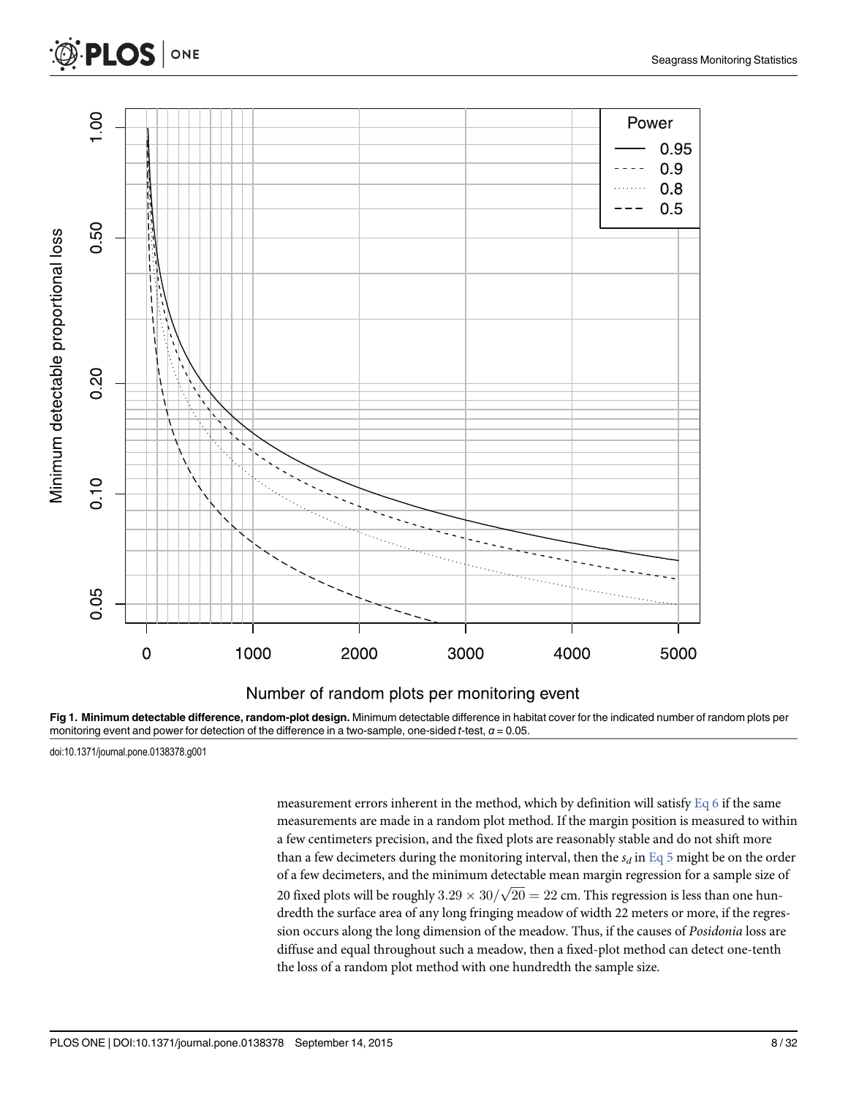

Number of random plots per monitoring event

[Fig 1. M](#page-6-0)inimum detectable difference, random-plot design. Minimum detectable difference in habitat cover for the indicated number of random plots per monitoring event and power for detection of the difference in a two-sample, one-sided t-test,  $\alpha$  = 0.05.

doi:10.1371/journal.pone.0138378.g001

<span id="page-7-0"></span>**PLOS** 

ONE

measurement errors inherent in the method, which by definition will satisfy  $Eq 6$  if the same measurements are made in a random plot method. If the margin position is measured to within a few centimeters precision, and the fixed plots are reasonably stable and do not shift more than a few decimeters during the monitoring interval, then the  $s_d$  in [Eq 5](#page-5-0) might be on the order of a few decimeters, and the minimum detectable mean margin regression for a sample size of or a few decimeters, and the minimum detectable mean margin regression for a sample size  $\alpha$  fixed plots will be roughly  $3.29 \times 30/\sqrt{20} = 22$  cm. This regression is less than one hundredth the surface area of any long fringing meadow of width 22 meters or more, if the regression occurs along the long dimension of the meadow. Thus, if the causes of Posidonia loss are diffuse and equal throughout such a meadow, then a fixed-plot method can detect one-tenth the loss of a random plot method with one hundredth the sample size.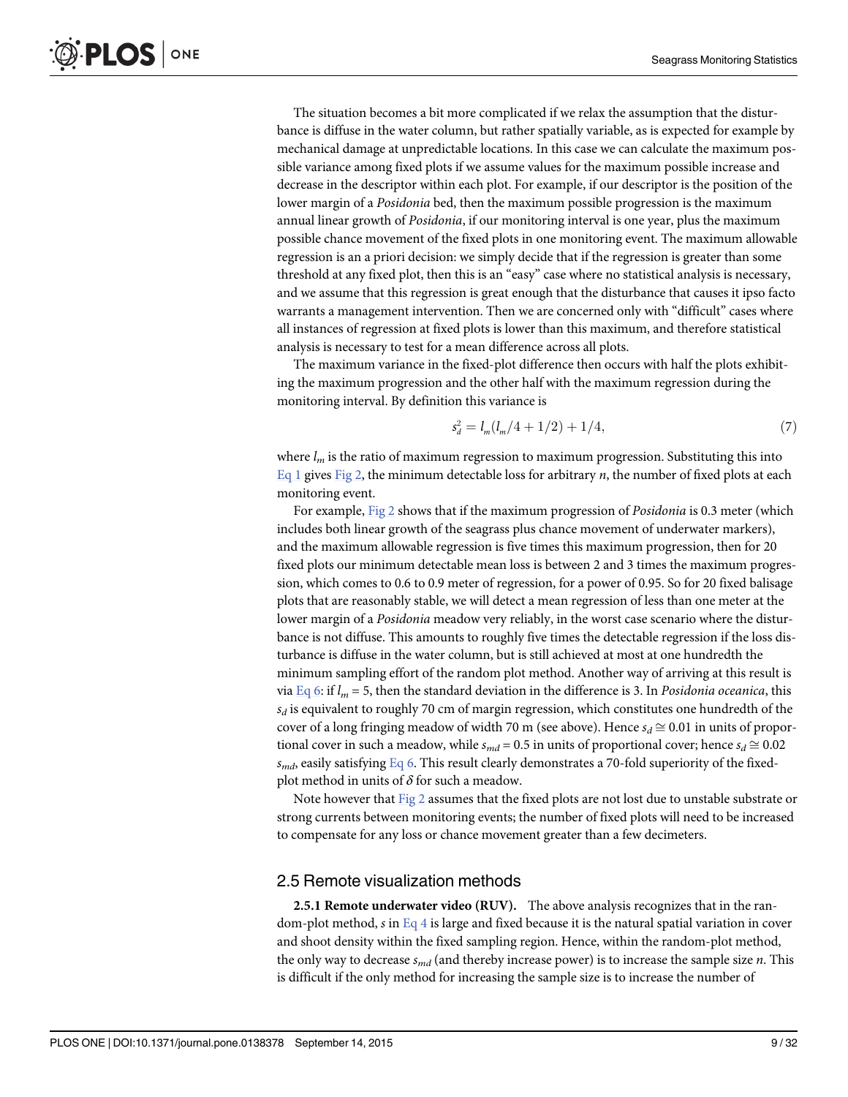<span id="page-8-0"></span>The situation becomes a bit more complicated if we relax the assumption that the disturbance is diffuse in the water column, but rather spatially variable, as is expected for example by mechanical damage at unpredictable locations. In this case we can calculate the maximum possible variance among fixed plots if we assume values for the maximum possible increase and decrease in the descriptor within each plot. For example, if our descriptor is the position of the lower margin of a Posidonia bed, then the maximum possible progression is the maximum annual linear growth of Posidonia, if our monitoring interval is one year, plus the maximum possible chance movement of the fixed plots in one monitoring event. The maximum allowable regression is an a priori decision: we simply decide that if the regression is greater than some threshold at any fixed plot, then this is an "easy" case where no statistical analysis is necessary, and we assume that this regression is great enough that the disturbance that causes it ipso facto warrants a management intervention. Then we are concerned only with "difficult" cases where all instances of regression at fixed plots is lower than this maximum, and therefore statistical analysis is necessary to test for a mean difference across all plots.

The maximum variance in the fixed-plot difference then occurs with half the plots exhibiting the maximum progression and the other half with the maximum regression during the monitoring interval. By definition this variance is

$$
s_d^2 = l_m(l_m/4 + 1/2) + 1/4,\tag{7}
$$

where  $l_m$  is the ratio of maximum regression to maximum progression. Substituting this into [Eq 1](#page-5-0) gives [Fig 2](#page-9-0), the minimum detectable loss for arbitrary *n*, the number of fixed plots at each monitoring event.

For example, [Fig 2](#page-9-0) shows that if the maximum progression of *Posidonia* is 0.3 meter (which includes both linear growth of the seagrass plus chance movement of underwater markers), and the maximum allowable regression is five times this maximum progression, then for 20 fixed plots our minimum detectable mean loss is between 2 and 3 times the maximum progression, which comes to 0.6 to 0.9 meter of regression, for a power of 0.95. So for 20 fixed balisage plots that are reasonably stable, we will detect a mean regression of less than one meter at the lower margin of a Posidonia meadow very reliably, in the worst case scenario where the disturbance is not diffuse. This amounts to roughly five times the detectable regression if the loss disturbance is diffuse in the water column, but is still achieved at most at one hundredth the minimum sampling effort of the random plot method. Another way of arriving at this result is via  $Eq 6$ : if  $l_m = 5$ , then the standard deviation in the difference is 3. In *Posidonia oceanica*, this  $s_d$  is equivalent to roughly 70 cm of margin regression, which constitutes one hundredth of the cover of a long fringing meadow of width 70 m (see above). Hence  $s_d \approx 0.01$  in units of proportional cover in such a meadow, while  $s_{md} = 0.5$  in units of proportional cover; hence  $s_d \approx 0.02$  $s_{md}$ , easily satisfying [Eq 6.](#page-5-0) This result clearly demonstrates a 70-fold superiority of the fixedplot method in units of  $\delta$  for such a meadow.

Note however that [Fig 2](#page-9-0) assumes that the fixed plots are not lost due to unstable substrate or strong currents between monitoring events; the number of fixed plots will need to be increased to compensate for any loss or chance movement greater than a few decimeters.

#### 2.5 Remote visualization methods

2.5.1 Remote underwater video (RUV). The above analysis recognizes that in the ran-dom-plot method, s in [Eq 4](#page-5-0) is large and fixed because it is the natural spatial variation in cover and shoot density within the fixed sampling region. Hence, within the random-plot method, the only way to decrease  $s_{md}$  (and thereby increase power) is to increase the sample size  $n$ . This is difficult if the only method for increasing the sample size is to increase the number of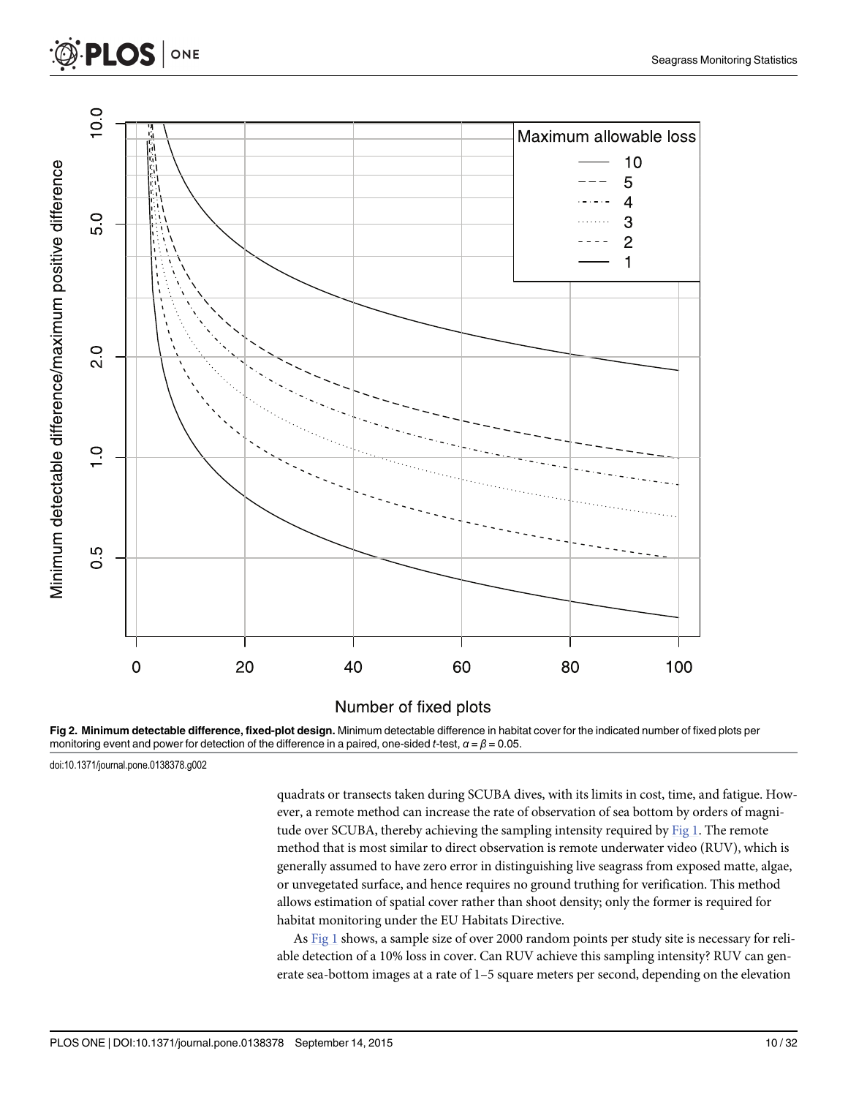

#### Number of fixed plots



doi:10.1371/journal.pone.0138378.g002

ONE

<span id="page-9-0"></span>**PLOS** I

quadrats or transects taken during SCUBA dives, with its limits in cost, time, and fatigue. However, a remote method can increase the rate of observation of sea bottom by orders of magni-tude over SCUBA, thereby achieving the sampling intensity required by [Fig 1.](#page-7-0) The remote method that is most similar to direct observation is remote underwater video (RUV), which is generally assumed to have zero error in distinguishing live seagrass from exposed matte, algae, or unvegetated surface, and hence requires no ground truthing for verification. This method allows estimation of spatial cover rather than shoot density; only the former is required for habitat monitoring under the EU Habitats Directive.

As [Fig 1](#page-7-0) shows, a sample size of over 2000 random points per study site is necessary for reliable detection of a 10% loss in cover. Can RUV achieve this sampling intensity? RUV can generate sea-bottom images at a rate of 1–5 square meters per second, depending on the elevation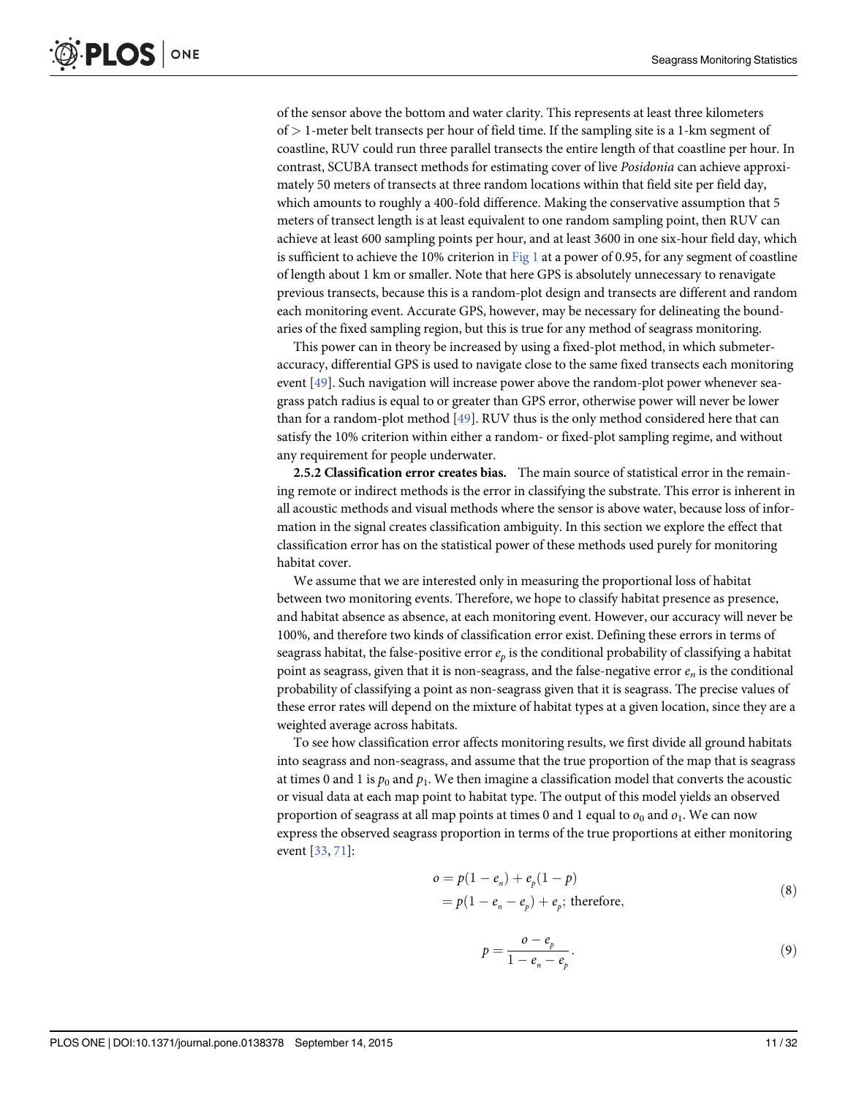<span id="page-10-0"></span>of the sensor above the bottom and water clarity. This represents at least three kilometers of > 1-meter belt transects per hour of field time. If the sampling site is a 1-km segment of coastline, RUV could run three parallel transects the entire length of that coastline per hour. In contrast, SCUBA transect methods for estimating cover of live Posidonia can achieve approximately 50 meters of transects at three random locations within that field site per field day, which amounts to roughly a 400-fold difference. Making the conservative assumption that 5 meters of transect length is at least equivalent to one random sampling point, then RUV can achieve at least 600 sampling points per hour, and at least 3600 in one six-hour field day, which is sufficient to achieve the 10% criterion in [Fig 1](#page-7-0) at a power of 0.95, for any segment of coastline of length about 1 km or smaller. Note that here GPS is absolutely unnecessary to renavigate previous transects, because this is a random-plot design and transects are different and random each monitoring event. Accurate GPS, however, may be necessary for delineating the boundaries of the fixed sampling region, but this is true for any method of seagrass monitoring.

This power can in theory be increased by using a fixed-plot method, in which submeteraccuracy, differential GPS is used to navigate close to the same fixed transects each monitoring event [\[49\]](#page-29-0). Such navigation will increase power above the random-plot power whenever seagrass patch radius is equal to or greater than GPS error, otherwise power will never be lower than for a random-plot method  $[49]$  $[49]$ . RUV thus is the only method considered here that can satisfy the 10% criterion within either a random- or fixed-plot sampling regime, and without any requirement for people underwater.

2.5.2 Classification error creates bias. The main source of statistical error in the remaining remote or indirect methods is the error in classifying the substrate. This error is inherent in all acoustic methods and visual methods where the sensor is above water, because loss of information in the signal creates classification ambiguity. In this section we explore the effect that classification error has on the statistical power of these methods used purely for monitoring habitat cover.

We assume that we are interested only in measuring the proportional loss of habitat between two monitoring events. Therefore, we hope to classify habitat presence as presence, and habitat absence as absence, at each monitoring event. However, our accuracy will never be 100%, and therefore two kinds of classification error exist. Defining these errors in terms of seagrass habitat, the false-positive error  $e_p$  is the conditional probability of classifying a habitat point as seagrass, given that it is non-seagrass, and the false-negative error  $e_n$  is the conditional probability of classifying a point as non-seagrass given that it is seagrass. The precise values of these error rates will depend on the mixture of habitat types at a given location, since they are a weighted average across habitats.

To see how classification error affects monitoring results, we first divide all ground habitats into seagrass and non-seagrass, and assume that the true proportion of the map that is seagrass at times 0 and 1 is  $p_0$  and  $p_1$ . We then imagine a classification model that converts the acoustic or visual data at each map point to habitat type. The output of this model yields an observed proportion of seagrass at all map points at times 0 and 1 equal to  $o_0$  and  $o_1$ . We can now express the observed seagrass proportion in terms of the true proportions at either monitoring event [\[33,](#page-28-0) [71\]](#page-30-0):

$$
o = p(1 - e_n) + e_p(1 - p)
$$
  
=  $p(1 - e_n - e_p) + e_p$ ; therefore, (8)

$$
p = \frac{o - e_p}{1 - e_n - e_p}.\tag{9}
$$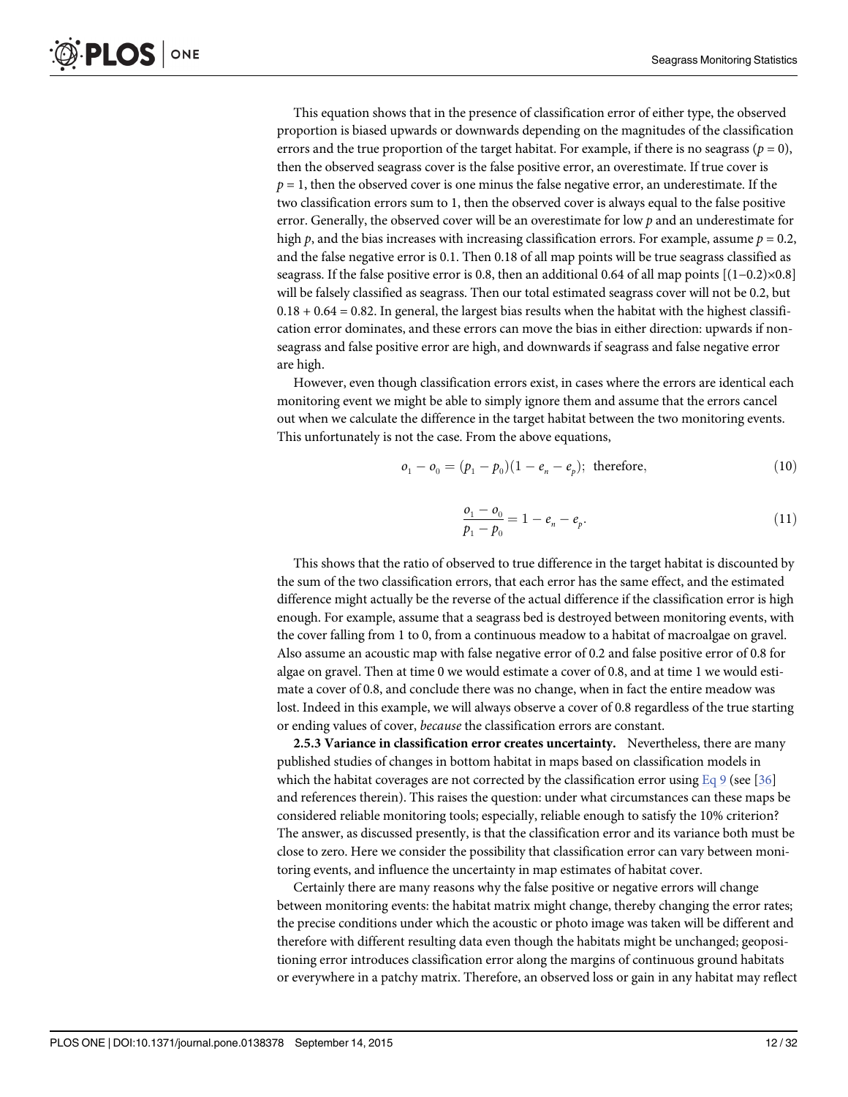<span id="page-11-0"></span>This equation shows that in the presence of classification error of either type, the observed proportion is biased upwards or downwards depending on the magnitudes of the classification errors and the true proportion of the target habitat. For example, if there is no seagrass ( $p = 0$ ), then the observed seagrass cover is the false positive error, an overestimate. If true cover is  $p = 1$ , then the observed cover is one minus the false negative error, an underestimate. If the two classification errors sum to 1, then the observed cover is always equal to the false positive error. Generally, the observed cover will be an overestimate for low  $p$  and an underestimate for high p, and the bias increases with increasing classification errors. For example, assume  $p = 0.2$ , and the false negative error is 0.1. Then 0.18 of all map points will be true seagrass classified as seagrass. If the false positive error is 0.8, then an additional 0.64 of all map points [(1−0.2)×0.8] will be falsely classified as seagrass. Then our total estimated seagrass cover will not be 0.2, but  $0.18 + 0.64 = 0.82$ . In general, the largest bias results when the habitat with the highest classification error dominates, and these errors can move the bias in either direction: upwards if nonseagrass and false positive error are high, and downwards if seagrass and false negative error are high.

However, even though classification errors exist, in cases where the errors are identical each monitoring event we might be able to simply ignore them and assume that the errors cancel out when we calculate the difference in the target habitat between the two monitoring events. This unfortunately is not the case. From the above equations,

$$
o_1 - o_0 = (p_1 - p_0)(1 - e_n - e_p); \text{ therefore,}
$$
 (10)

$$
\frac{o_1 - o_0}{p_1 - p_0} = 1 - e_n - e_p.
$$
\n(11)

This shows that the ratio of observed to true difference in the target habitat is discounted by the sum of the two classification errors, that each error has the same effect, and the estimated difference might actually be the reverse of the actual difference if the classification error is high enough. For example, assume that a seagrass bed is destroyed between monitoring events, with the cover falling from 1 to 0, from a continuous meadow to a habitat of macroalgae on gravel. Also assume an acoustic map with false negative error of 0.2 and false positive error of 0.8 for algae on gravel. Then at time 0 we would estimate a cover of 0.8, and at time 1 we would estimate a cover of 0.8, and conclude there was no change, when in fact the entire meadow was lost. Indeed in this example, we will always observe a cover of 0.8 regardless of the true starting or ending values of cover, because the classification errors are constant.

2.5.3 Variance in classification error creates uncertainty. Nevertheless, there are many published studies of changes in bottom habitat in maps based on classification models in which the habitat coverages are not corrected by the classification error using [Eq 9](#page-10-0) (see [[36](#page-28-0)] and references therein). This raises the question: under what circumstances can these maps be considered reliable monitoring tools; especially, reliable enough to satisfy the 10% criterion? The answer, as discussed presently, is that the classification error and its variance both must be close to zero. Here we consider the possibility that classification error can vary between monitoring events, and influence the uncertainty in map estimates of habitat cover.

Certainly there are many reasons why the false positive or negative errors will change between monitoring events: the habitat matrix might change, thereby changing the error rates; the precise conditions under which the acoustic or photo image was taken will be different and therefore with different resulting data even though the habitats might be unchanged; geopositioning error introduces classification error along the margins of continuous ground habitats or everywhere in a patchy matrix. Therefore, an observed loss or gain in any habitat may reflect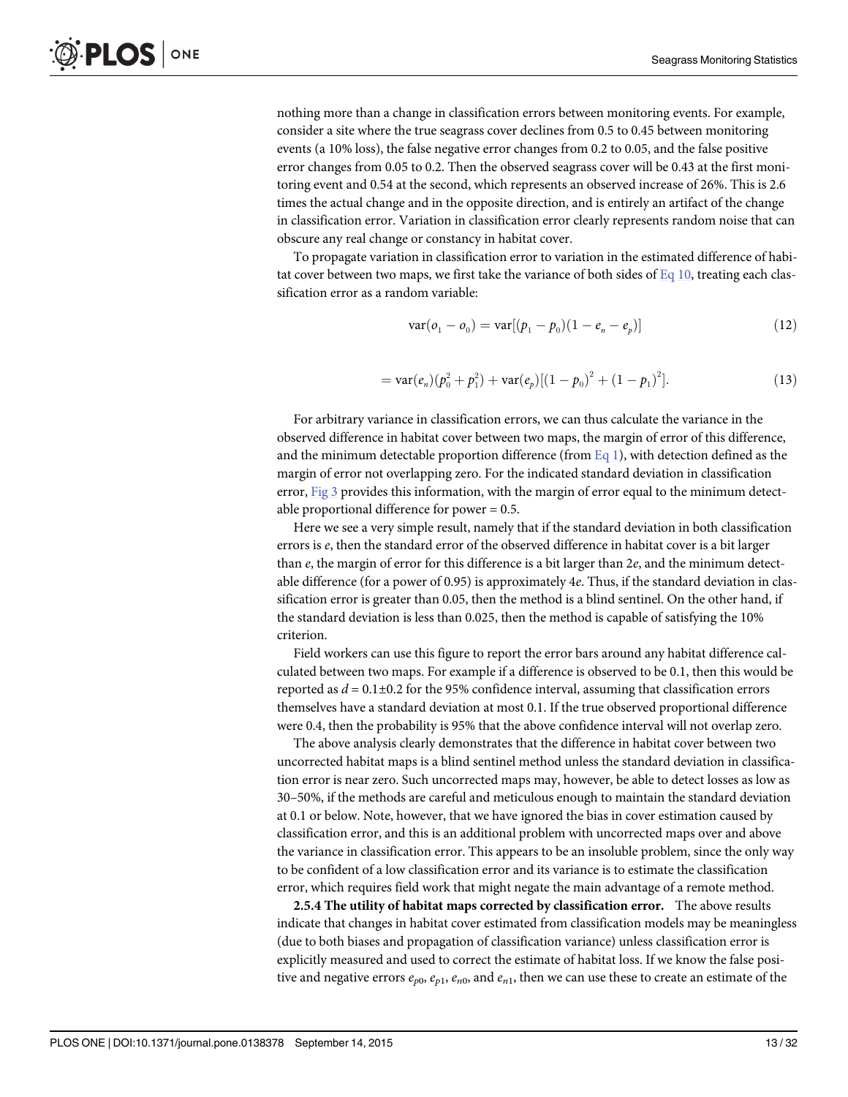<span id="page-12-0"></span>PLOS ONE

nothing more than a change in classification errors between monitoring events. For example, consider a site where the true seagrass cover declines from 0.5 to 0.45 between monitoring events (a 10% loss), the false negative error changes from 0.2 to 0.05, and the false positive error changes from 0.05 to 0.2. Then the observed seagrass cover will be 0.43 at the first monitoring event and 0.54 at the second, which represents an observed increase of 26%. This is 2.6 times the actual change and in the opposite direction, and is entirely an artifact of the change in classification error. Variation in classification error clearly represents random noise that can obscure any real change or constancy in habitat cover.

To propagate variation in classification error to variation in the estimated difference of habitat cover between two maps, we first take the variance of both sides of  $Eq$  10, treating each classification error as a random variable:

$$
var(o_1 - o_0) = var[(p_1 - p_0)(1 - e_n - e_p)]
$$
\n(12)

$$
= \text{var}(e_n)(p_0^2 + p_1^2) + \text{var}(e_p)[(1 - p_0)^2 + (1 - p_1)^2]. \tag{13}
$$

For arbitrary variance in classification errors, we can thus calculate the variance in the observed difference in habitat cover between two maps, the margin of error of this difference, and the minimum detectable proportion difference (from [Eq 1](#page-5-0)), with detection defined as the margin of error not overlapping zero. For the indicated standard deviation in classification error,  $Fig 3$  provides this information, with the margin of error equal to the minimum detectable proportional difference for power = 0.5.

Here we see a very simple result, namely that if the standard deviation in both classification errors is e, then the standard error of the observed difference in habitat cover is a bit larger than e, the margin of error for this difference is a bit larger than 2e, and the minimum detectable difference (for a power of 0.95) is approximately 4e. Thus, if the standard deviation in classification error is greater than 0.05, then the method is a blind sentinel. On the other hand, if the standard deviation is less than 0.025, then the method is capable of satisfying the 10% criterion.

Field workers can use this figure to report the error bars around any habitat difference calculated between two maps. For example if a difference is observed to be 0.1, then this would be reported as  $d = 0.1 \pm 0.2$  for the 95% confidence interval, assuming that classification errors themselves have a standard deviation at most 0.1. If the true observed proportional difference were 0.4, then the probability is 95% that the above confidence interval will not overlap zero.

The above analysis clearly demonstrates that the difference in habitat cover between two uncorrected habitat maps is a blind sentinel method unless the standard deviation in classification error is near zero. Such uncorrected maps may, however, be able to detect losses as low as 30–50%, if the methods are careful and meticulous enough to maintain the standard deviation at 0.1 or below. Note, however, that we have ignored the bias in cover estimation caused by classification error, and this is an additional problem with uncorrected maps over and above the variance in classification error. This appears to be an insoluble problem, since the only way to be confident of a low classification error and its variance is to estimate the classification error, which requires field work that might negate the main advantage of a remote method.

2.5.4 The utility of habitat maps corrected by classification error. The above results indicate that changes in habitat cover estimated from classification models may be meaningless (due to both biases and propagation of classification variance) unless classification error is explicitly measured and used to correct the estimate of habitat loss. If we know the false positive and negative errors  $e_{p0}$ ,  $e_{p1}$ ,  $e_{n0}$ , and  $e_{n1}$ , then we can use these to create an estimate of the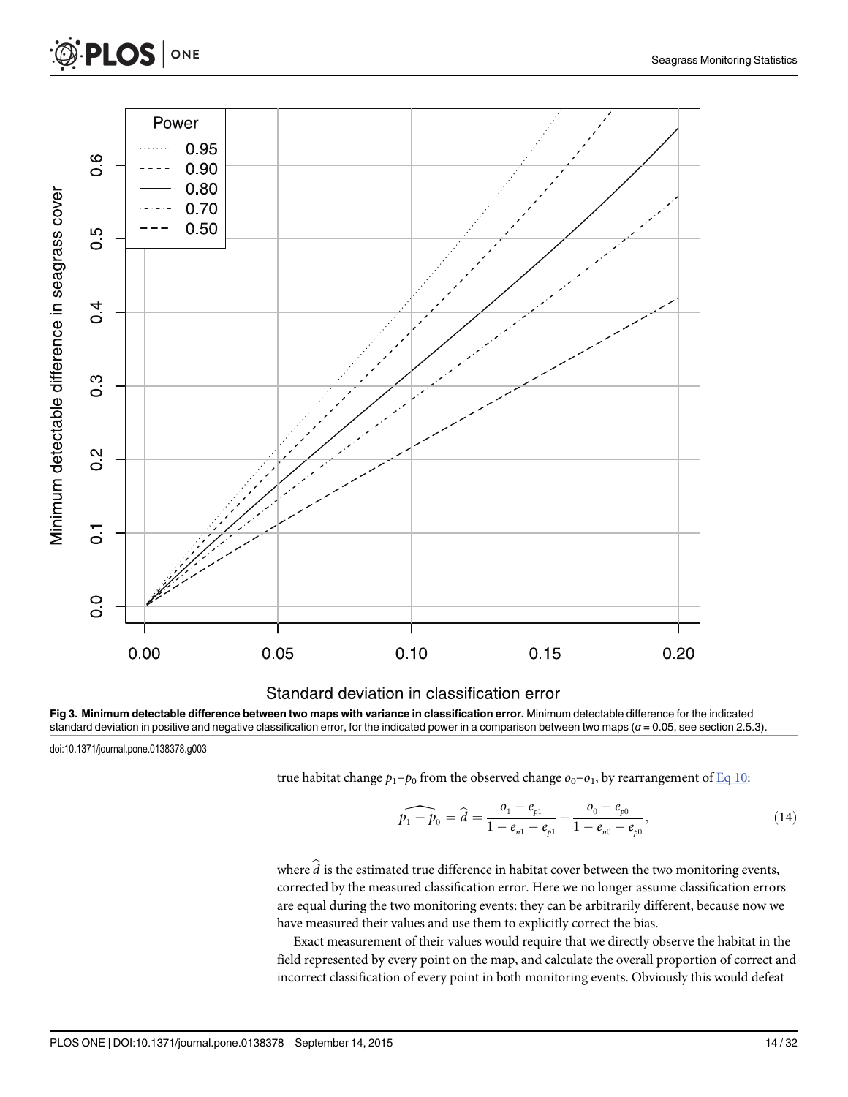

Standard deviation in classification error

[Fig 3. M](#page-12-0)inimum detectable difference between two maps with variance in classification error. Minimum detectable difference for the indicated standard deviation in positive and negative classification error, for the indicated power in a comparison between two maps ( $\alpha$  = 0.05, see section 2.5.3).

doi:10.1371/journal.pone.0138378.g003

<span id="page-13-0"></span>**PLOS** | ONE

true habitat change  $p_1-p_0$  from the observed change  $o_0-o_1$ , by rearrangement of [Eq 10:](#page-11-0)

$$
\widehat{p_1 - p_0} = \widehat{d} = \frac{o_1 - e_{p1}}{1 - e_{n1} - e_{p1}} - \frac{o_0 - e_{p0}}{1 - e_{n0} - e_{p0}},
$$
\n(14)

where  $\hat{d}$  is the estimated true difference in habitat cover between the two monitoring events, corrected by the measured classification error. Here we no longer assume classification errors are equal during the two monitoring events: they can be arbitrarily different, because now we have measured their values and use them to explicitly correct the bias.

Exact measurement of their values would require that we directly observe the habitat in the field represented by every point on the map, and calculate the overall proportion of correct and incorrect classification of every point in both monitoring events. Obviously this would defeat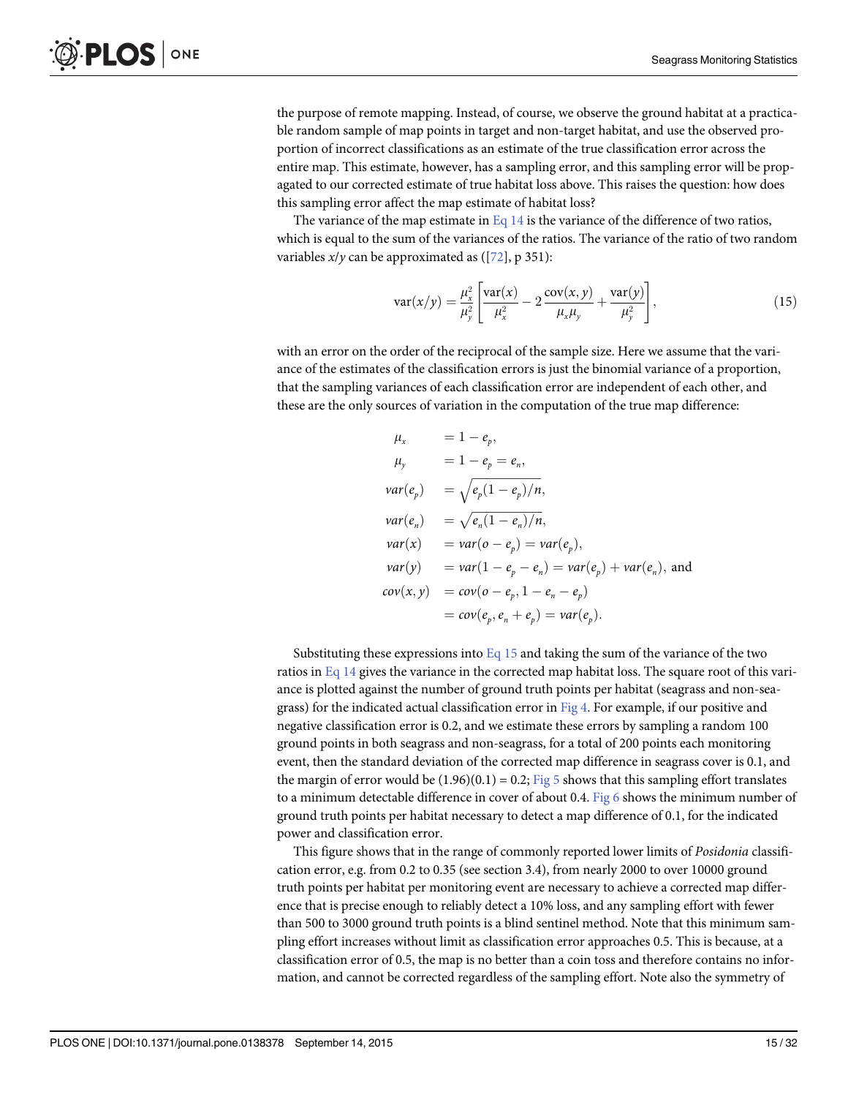<span id="page-14-0"></span>the purpose of remote mapping. Instead, of course, we observe the ground habitat at a practicable random sample of map points in target and non-target habitat, and use the observed proportion of incorrect classifications as an estimate of the true classification error across the entire map. This estimate, however, has a sampling error, and this sampling error will be propagated to our corrected estimate of true habitat loss above. This raises the question: how does this sampling error affect the map estimate of habitat loss?

The variance of the map estimate in  $\underline{Eq\ 14}$  is the variance of the difference of two ratios, which is equal to the sum of the variances of the ratios. The variance of the ratio of two random variables  $x/y$  can be approximated as ([\[72\]](#page-30-0), p 351):

$$
var(x/y) = \frac{\mu_x^2}{\mu_y^2} \left[ \frac{var(x)}{\mu_x^2} - 2 \frac{cov(x, y)}{\mu_x \mu_y} + \frac{var(y)}{\mu_y^2} \right],
$$
 (15)

with an error on the order of the reciprocal of the sample size. Here we assume that the variance of the estimates of the classification errors is just the binomial variance of a proportion, that the sampling variances of each classification error are independent of each other, and these are the only sources of variation in the computation of the true map difference:

$$
\mu_x = 1 - e_p,
$$
  
\n
$$
\mu_y = 1 - e_p = e_n,
$$
  
\n
$$
var(e_p) = \sqrt{e_p(1 - e_p)/n},
$$
  
\n
$$
var(e_n) = \sqrt{e_n(1 - e_n)/n},
$$
  
\n
$$
var(x) = var(o - e_p) = var(e_p),
$$
  
\n
$$
var(y) = var(1 - e_p - e_n) = var(e_p) + var(e_n),
$$
 and  
\n
$$
cov(x, y) = cov(o - e_p, 1 - e_n - e_p)
$$
  
\n
$$
= cov(e_p, e_n + e_p) = var(e_p).
$$

Substituting these expressions into  $Eq$  15 and taking the sum of the variance of the two ratios in [Eq 14](#page-13-0) gives the variance in the corrected map habitat loss. The square root of this variance is plotted against the number of ground truth points per habitat (seagrass and non-seagrass) for the indicated actual classification error in  $Fig 4$ . For example, if our positive and negative classification error is 0.2, and we estimate these errors by sampling a random 100 ground points in both seagrass and non-seagrass, for a total of 200 points each monitoring event, then the standard deviation of the corrected map difference in seagrass cover is 0.1, and the margin of error would be  $(1.96)(0.1) = 0.2$ ; [Fig 5](#page-16-0) shows that this sampling effort translates to a minimum detectable difference in cover of about 0.4. [Fig 6](#page-17-0) shows the minimum number of ground truth points per habitat necessary to detect a map difference of 0.1, for the indicated power and classification error.

This figure shows that in the range of commonly reported lower limits of Posidonia classification error, e.g. from 0.2 to 0.35 (see section 3.4), from nearly 2000 to over 10000 ground truth points per habitat per monitoring event are necessary to achieve a corrected map difference that is precise enough to reliably detect a 10% loss, and any sampling effort with fewer than 500 to 3000 ground truth points is a blind sentinel method. Note that this minimum sampling effort increases without limit as classification error approaches 0.5. This is because, at a classification error of 0.5, the map is no better than a coin toss and therefore contains no information, and cannot be corrected regardless of the sampling effort. Note also the symmetry of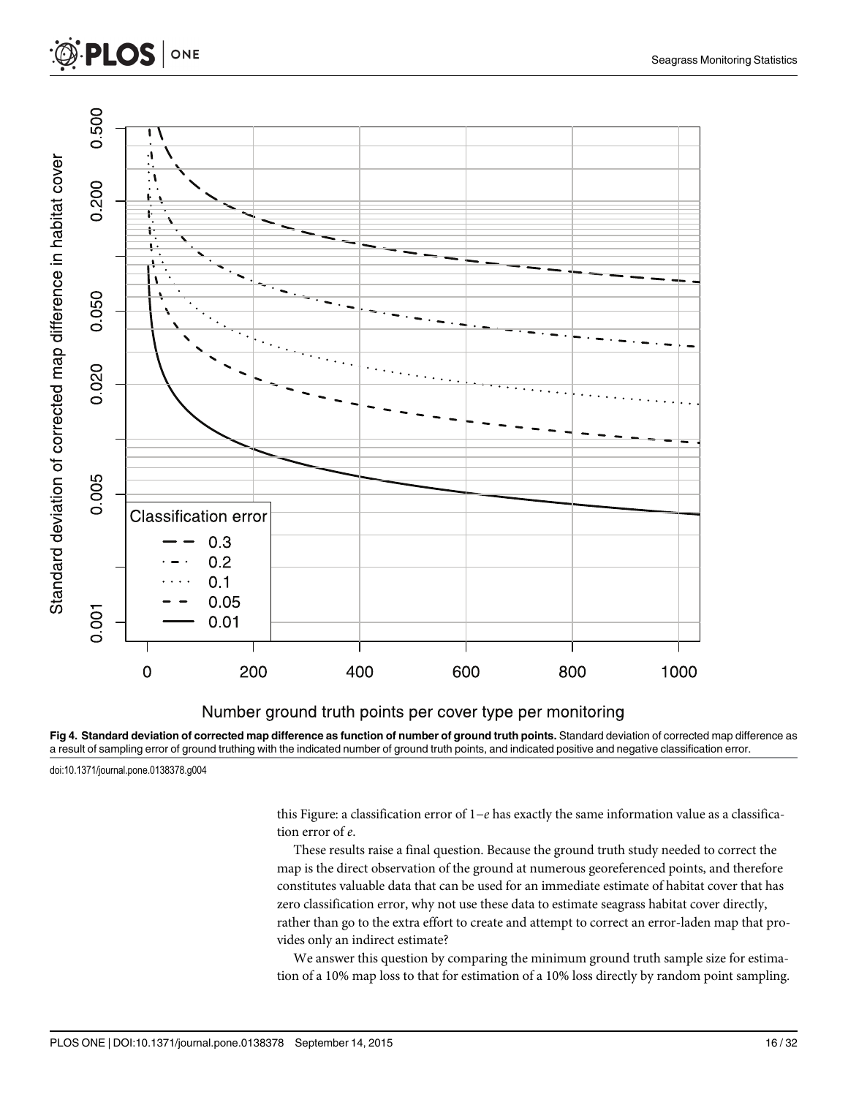<span id="page-15-0"></span>![](_page_15_Figure_0.jpeg)

![](_page_15_Figure_2.jpeg)

Number ground truth points per cover type per monitoring

[Fig 4. S](#page-14-0)tandard deviation of corrected map difference as function of number of ground truth points. Standard deviation of corrected map difference as a result of sampling error of ground truthing with the indicated number of ground truth points, and indicated positive and negative classification error.

doi:10.1371/journal.pone.0138378.g004

this Figure: a classification error of 1−e has exactly the same information value as a classification error of e.

These results raise a final question. Because the ground truth study needed to correct the map is the direct observation of the ground at numerous georeferenced points, and therefore constitutes valuable data that can be used for an immediate estimate of habitat cover that has zero classification error, why not use these data to estimate seagrass habitat cover directly, rather than go to the extra effort to create and attempt to correct an error-laden map that provides only an indirect estimate?

We answer this question by comparing the minimum ground truth sample size for estimation of a 10% map loss to that for estimation of a 10% loss directly by random point sampling.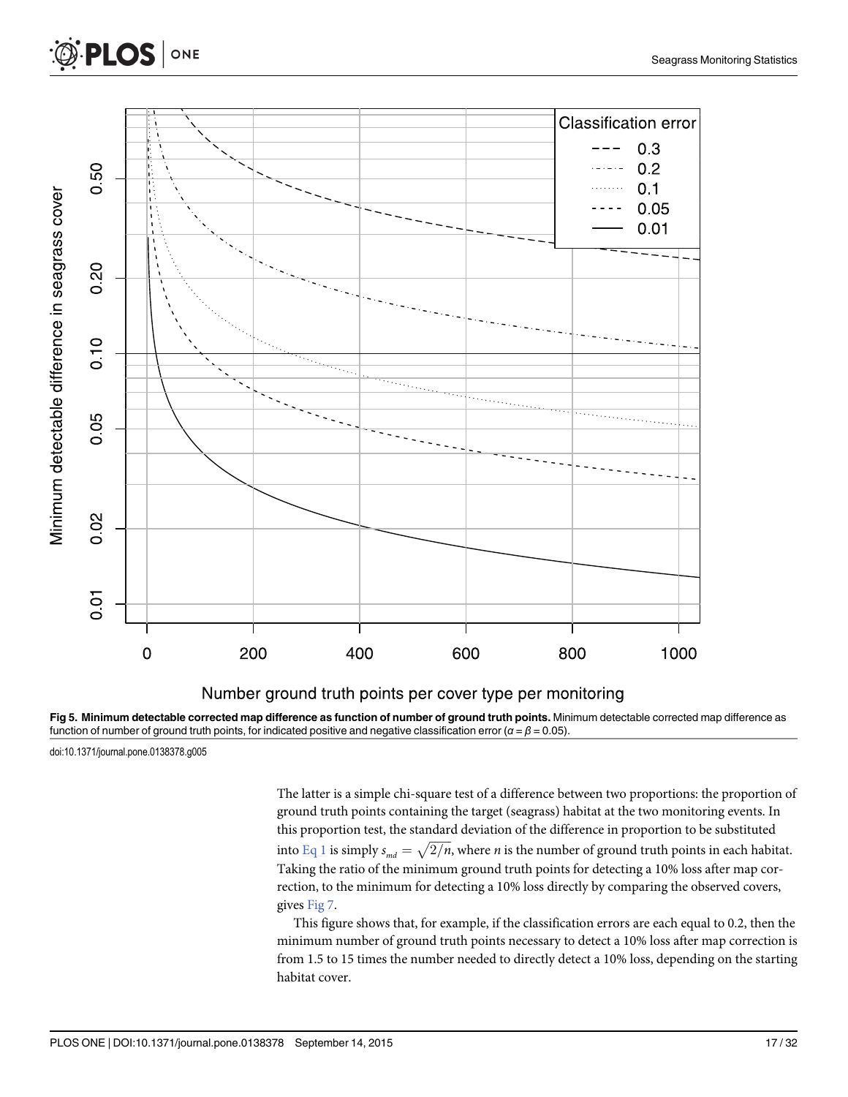<span id="page-16-0"></span>![](_page_16_Figure_1.jpeg)

![](_page_16_Figure_2.jpeg)

#### Number ground truth points per cover type per monitoring

[Fig 5. M](#page-14-0)inimum detectable corrected map difference as function of number of ground truth points. Minimum detectable corrected map difference as function of number of ground truth points, for indicated positive and negative classification error ( $\alpha = \beta = 0.05$ ).

doi:10.1371/journal.pone.0138378.g005

The latter is a simple chi-square test of a difference between two proportions: the proportion of ground truth points containing the target (seagrass) habitat at the two monitoring events. In this proportion test, the standard deviation of the difference in proportion to be substituted this proportion test, the standard deviation of the difference in proportion to be substituted<br>into <u>[Eq 1](#page-5-0)</u> is simply  $s_{md} = \sqrt{2/n}$ , where *n* is the number of ground truth points in each habitat. Taking the ratio of the minimum ground truth points for detecting a 10% loss after map correction, to the minimum for detecting a 10% loss directly by comparing the observed covers, gives [Fig 7](#page-18-0).

This figure shows that, for example, if the classification errors are each equal to 0.2, then the minimum number of ground truth points necessary to detect a 10% loss after map correction is from 1.5 to 15 times the number needed to directly detect a 10% loss, depending on the starting habitat cover.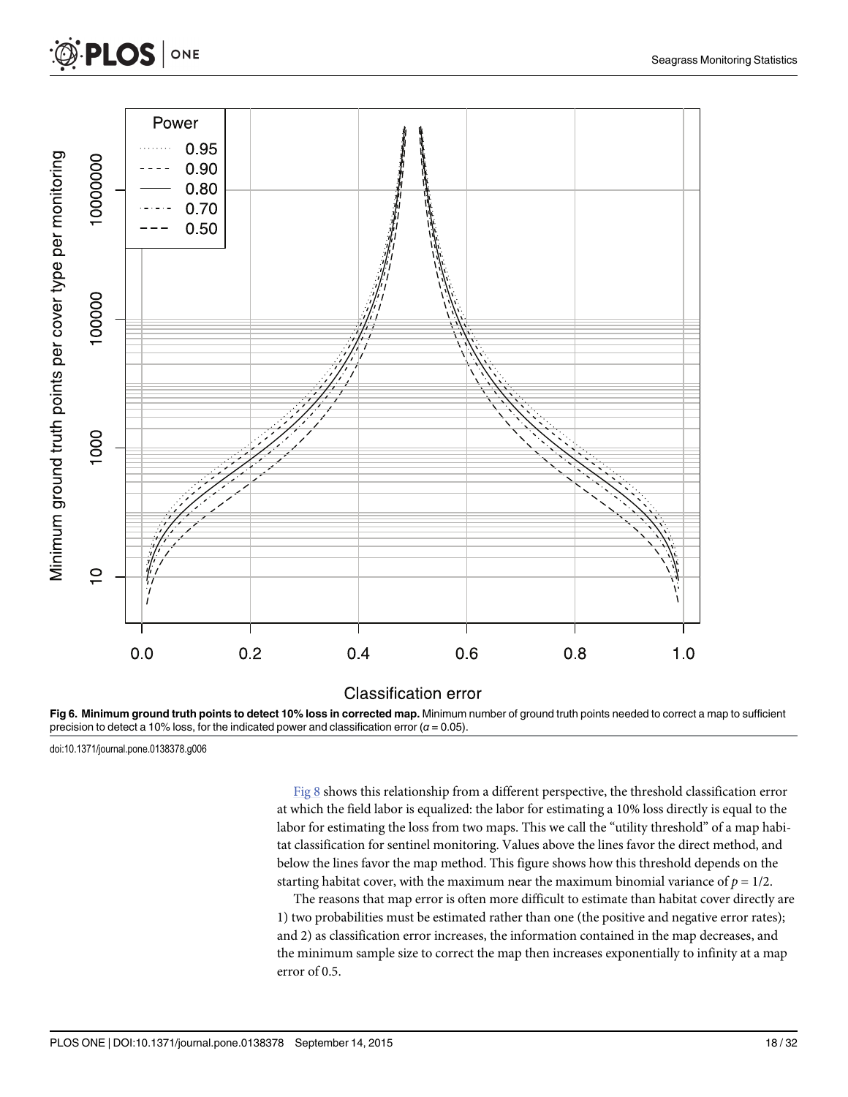<span id="page-17-0"></span>![](_page_17_Figure_2.jpeg)

**Classification error** 

[Fig 6. M](#page-14-0)inimum ground truth points to detect 10% loss in corrected map. Minimum number of ground truth points needed to correct a map to sufficient precision to detect a 10% loss, for the indicated power and classification error ( $\alpha$  = 0.05).

doi:10.1371/journal.pone.0138378.g006

[Fig 8](#page-19-0) shows this relationship from a different perspective, the threshold classification error at which the field labor is equalized: the labor for estimating a 10% loss directly is equal to the labor for estimating the loss from two maps. This we call the "utility threshold" of a map habitat classification for sentinel monitoring. Values above the lines favor the direct method, and below the lines favor the map method. This figure shows how this threshold depends on the starting habitat cover, with the maximum near the maximum binomial variance of  $p = 1/2$ .

The reasons that map error is often more difficult to estimate than habitat cover directly are 1) two probabilities must be estimated rather than one (the positive and negative error rates); and 2) as classification error increases, the information contained in the map decreases, and the minimum sample size to correct the map then increases exponentially to infinity at a map error of 0.5.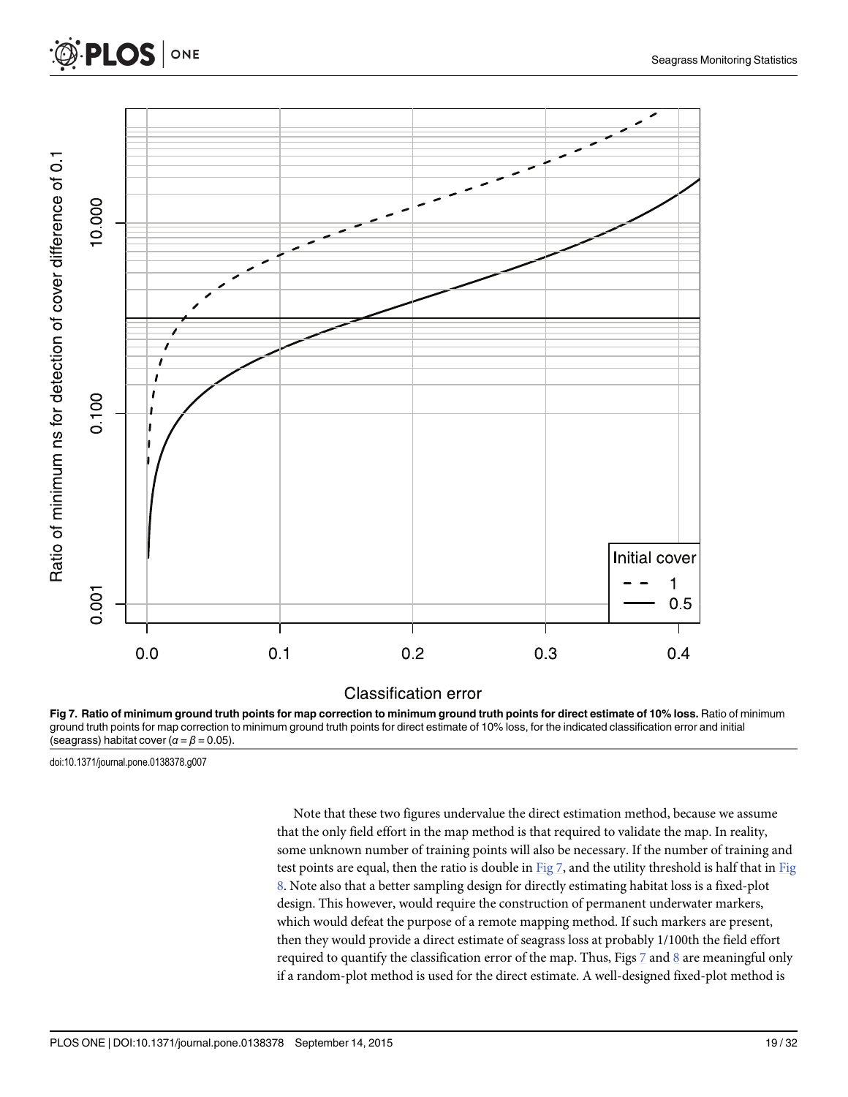<span id="page-18-0"></span>![](_page_18_Figure_1.jpeg)

![](_page_18_Figure_2.jpeg)

#### **Classification error**

[Fig 7. R](#page-16-0)atio of minimum ground truth points for map correction to minimum ground truth points for direct estimate of 10% loss. Ratio of minimum ground truth points for map correction to minimum ground truth points for direct estimate of 10% loss, for the indicated classification error and initial (seagrass) habitat cover ( $\alpha = \beta = 0.05$ ).

doi:10.1371/journal.pone.0138378.g007

Note that these two figures undervalue the direct estimation method, because we assume that the only field effort in the map method is that required to validate the map. In reality, some unknown number of training points will also be necessary. If the number of training and test points are equal, then the ratio is double in [Fig](#page-19-0) 7, and the utility threshold is half that in Fig [8.](#page-19-0) Note also that a better sampling design for directly estimating habitat loss is a fixed-plot design. This however, would require the construction of permanent underwater markers, which would defeat the purpose of a remote mapping method. If such markers are present, then they would provide a direct estimate of seagrass loss at probably 1/100th the field effort required to quantify the classification error of the map. Thus, Figs  $\frac{7}{2}$  and  $\frac{8}{2}$  $\frac{8}{2}$  $\frac{8}{2}$  are meaningful only if a random-plot method is used for the direct estimate. A well-designed fixed-plot method is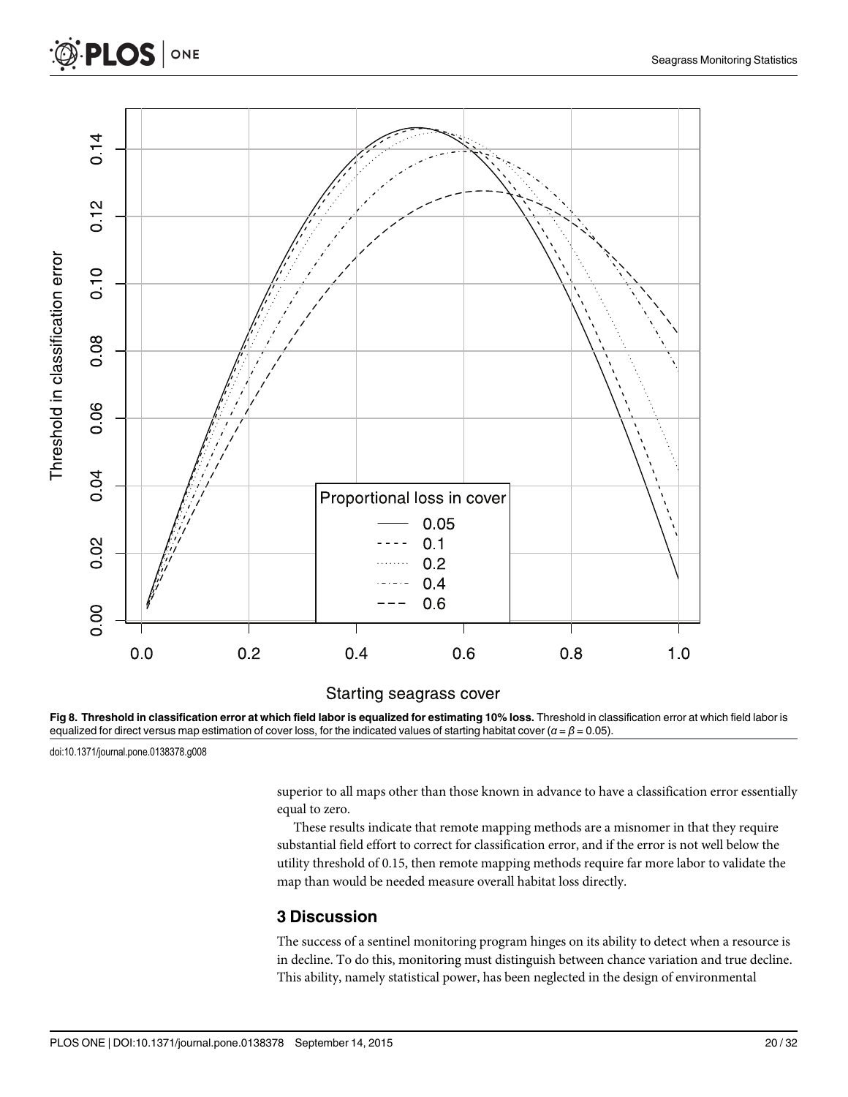![](_page_19_Figure_1.jpeg)

#### Starting seagrass cover

[Fig 8. T](#page-17-0)hreshold in classification error at which field labor is equalized for estimating 10% loss. Threshold in classification error at which field labor is equalized for direct versus map estimation of cover loss, for the indicated values of starting habitat cover ( $\alpha = \beta = 0.05$ ).

doi:10.1371/journal.pone.0138378.g008

<span id="page-19-0"></span>**PLOS** ONE

superior to all maps other than those known in advance to have a classification error essentially equal to zero.

These results indicate that remote mapping methods are a misnomer in that they require substantial field effort to correct for classification error, and if the error is not well below the utility threshold of 0.15, then remote mapping methods require far more labor to validate the map than would be needed measure overall habitat loss directly.

#### 3 Discussion

The success of a sentinel monitoring program hinges on its ability to detect when a resource is in decline. To do this, monitoring must distinguish between chance variation and true decline. This ability, namely statistical power, has been neglected in the design of environmental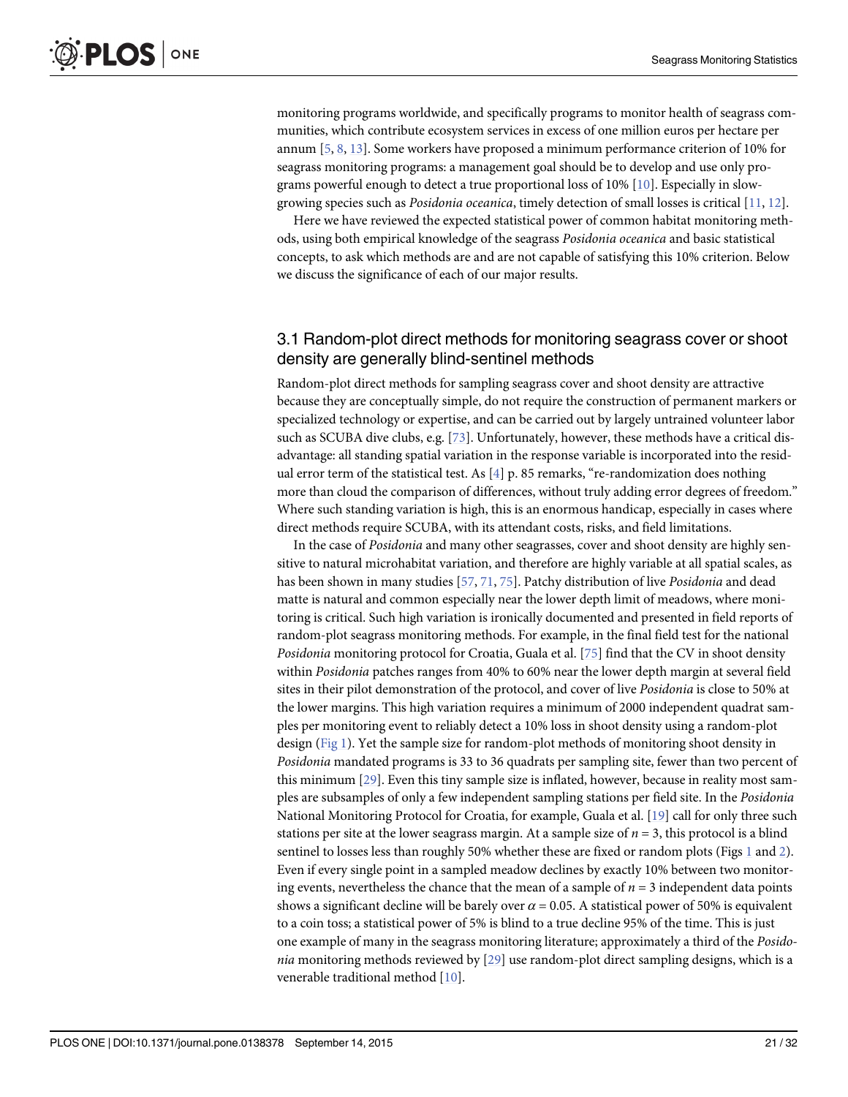<span id="page-20-0"></span>monitoring programs worldwide, and specifically programs to monitor health of seagrass communities, which contribute ecosystem services in excess of one million euros per hectare per annum  $[5, 8, 13]$  $[5, 8, 13]$  $[5, 8, 13]$  $[5, 8, 13]$  $[5, 8, 13]$  $[5, 8, 13]$ . Some workers have proposed a minimum performance criterion of 10% for seagrass monitoring programs: a management goal should be to develop and use only programs powerful enough to detect a true proportional loss of 10% [[10\]](#page-27-0). Especially in slowgrowing species such as *Posidonia oceanica*, timely detection of small losses is critical  $[11, 12]$  $[11, 12]$  $[11, 12]$  $[11, 12]$  $[11, 12]$ .

Here we have reviewed the expected statistical power of common habitat monitoring methods, using both empirical knowledge of the seagrass Posidonia oceanica and basic statistical concepts, to ask which methods are and are not capable of satisfying this 10% criterion. Below we discuss the significance of each of our major results.

### 3.1 Random-plot direct methods for monitoring seagrass cover or shoot density are generally blind-sentinel methods

Random-plot direct methods for sampling seagrass cover and shoot density are attractive because they are conceptually simple, do not require the construction of permanent markers or specialized technology or expertise, and can be carried out by largely untrained volunteer labor such as SCUBA dive clubs, e.g. [[73](#page-30-0)]. Unfortunately, however, these methods have a critical disadvantage: all standing spatial variation in the response variable is incorporated into the residual error term of the statistical test. As  $[4]$  $[4]$  p. 85 remarks, "re-randomization does nothing more than cloud the comparison of differences, without truly adding error degrees of freedom." Where such standing variation is high, this is an enormous handicap, especially in cases where direct methods require SCUBA, with its attendant costs, risks, and field limitations.

In the case of Posidonia and many other seagrasses, cover and shoot density are highly sensitive to natural microhabitat variation, and therefore are highly variable at all spatial scales, as has been shown in many studies [[57,](#page-29-0) [71,](#page-30-0) [75\]](#page-30-0). Patchy distribution of live *Posidonia* and dead matte is natural and common especially near the lower depth limit of meadows, where monitoring is critical. Such high variation is ironically documented and presented in field reports of random-plot seagrass monitoring methods. For example, in the final field test for the national *Posidonia* monitoring protocol for Croatia, Guala et al.  $[75]$  find that the CV in shoot density within Posidonia patches ranges from 40% to 60% near the lower depth margin at several field sites in their pilot demonstration of the protocol, and cover of live Posidonia is close to 50% at the lower margins. This high variation requires a minimum of 2000 independent quadrat samples per monitoring event to reliably detect a 10% loss in shoot density using a random-plot design [\(Fig 1\)](#page-7-0). Yet the sample size for random-plot methods of monitoring shoot density in Posidonia mandated programs is 33 to 36 quadrats per sampling site, fewer than two percent of this minimum [[29](#page-28-0)]. Even this tiny sample size is inflated, however, because in reality most samples are subsamples of only a few independent sampling stations per field site. In the Posidonia National Monitoring Protocol for Croatia, for example, Guala et al. [[19](#page-27-0)] call for only three such stations per site at the lower seagrass margin. At a sample size of  $n = 3$ , this protocol is a blind sentinel to losses less than roughly 50% whether these are fixed or random plots (Figs [1](#page-7-0) and [2\)](#page-9-0). Even if every single point in a sampled meadow declines by exactly 10% between two monitoring events, nevertheless the chance that the mean of a sample of  $n = 3$  independent data points shows a significant decline will be barely over  $\alpha$  = 0.05. A statistical power of 50% is equivalent to a coin toss; a statistical power of 5% is blind to a true decline 95% of the time. This is just one example of many in the seagrass monitoring literature; approximately a third of the Posidonia monitoring methods reviewed by  $[29]$  use random-plot direct sampling designs, which is a venerable traditional method [[10](#page-27-0)].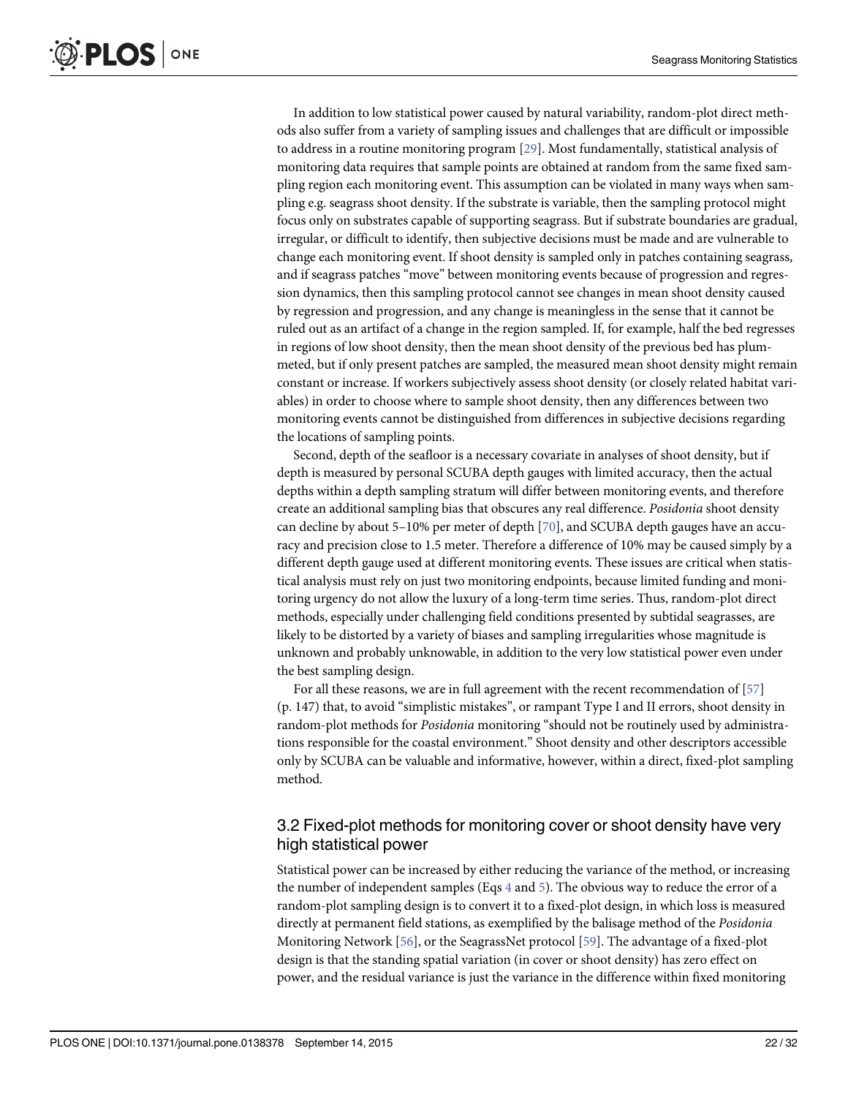<span id="page-21-0"></span>In addition to low statistical power caused by natural variability, random-plot direct methods also suffer from a variety of sampling issues and challenges that are difficult or impossible to address in a routine monitoring program [\[29\]](#page-28-0). Most fundamentally, statistical analysis of monitoring data requires that sample points are obtained at random from the same fixed sampling region each monitoring event. This assumption can be violated in many ways when sampling e.g. seagrass shoot density. If the substrate is variable, then the sampling protocol might focus only on substrates capable of supporting seagrass. But if substrate boundaries are gradual, irregular, or difficult to identify, then subjective decisions must be made and are vulnerable to change each monitoring event. If shoot density is sampled only in patches containing seagrass, and if seagrass patches "move" between monitoring events because of progression and regression dynamics, then this sampling protocol cannot see changes in mean shoot density caused by regression and progression, and any change is meaningless in the sense that it cannot be ruled out as an artifact of a change in the region sampled. If, for example, half the bed regresses in regions of low shoot density, then the mean shoot density of the previous bed has plummeted, but if only present patches are sampled, the measured mean shoot density might remain constant or increase. If workers subjectively assess shoot density (or closely related habitat variables) in order to choose where to sample shoot density, then any differences between two monitoring events cannot be distinguished from differences in subjective decisions regarding the locations of sampling points.

Second, depth of the seafloor is a necessary covariate in analyses of shoot density, but if depth is measured by personal SCUBA depth gauges with limited accuracy, then the actual depths within a depth sampling stratum will differ between monitoring events, and therefore create an additional sampling bias that obscures any real difference. Posidonia shoot density can decline by about 5–10% per meter of depth [[70](#page-30-0)], and SCUBA depth gauges have an accuracy and precision close to 1.5 meter. Therefore a difference of 10% may be caused simply by a different depth gauge used at different monitoring events. These issues are critical when statistical analysis must rely on just two monitoring endpoints, because limited funding and monitoring urgency do not allow the luxury of a long-term time series. Thus, random-plot direct methods, especially under challenging field conditions presented by subtidal seagrasses, are likely to be distorted by a variety of biases and sampling irregularities whose magnitude is unknown and probably unknowable, in addition to the very low statistical power even under the best sampling design.

For all these reasons, we are in full agreement with the recent recommendation of  $[57]$ (p. 147) that, to avoid "simplistic mistakes", or rampant Type I and II errors, shoot density in random-plot methods for Posidonia monitoring "should not be routinely used by administrations responsible for the coastal environment." Shoot density and other descriptors accessible only by SCUBA can be valuable and informative, however, within a direct, fixed-plot sampling method.

# 3.2 Fixed-plot methods for monitoring cover or shoot density have very high statistical power

Statistical power can be increased by either reducing the variance of the method, or increasing the number of independent samples (Eqs  $4$  and  $5$ ). The obvious way to reduce the error of a random-plot sampling design is to convert it to a fixed-plot design, in which loss is measured directly at permanent field stations, as exemplified by the balisage method of the *Posidonia* Monitoring Network [[56\]](#page-29-0), or the SeagrassNet protocol [\[59\]](#page-29-0). The advantage of a fixed-plot design is that the standing spatial variation (in cover or shoot density) has zero effect on power, and the residual variance is just the variance in the difference within fixed monitoring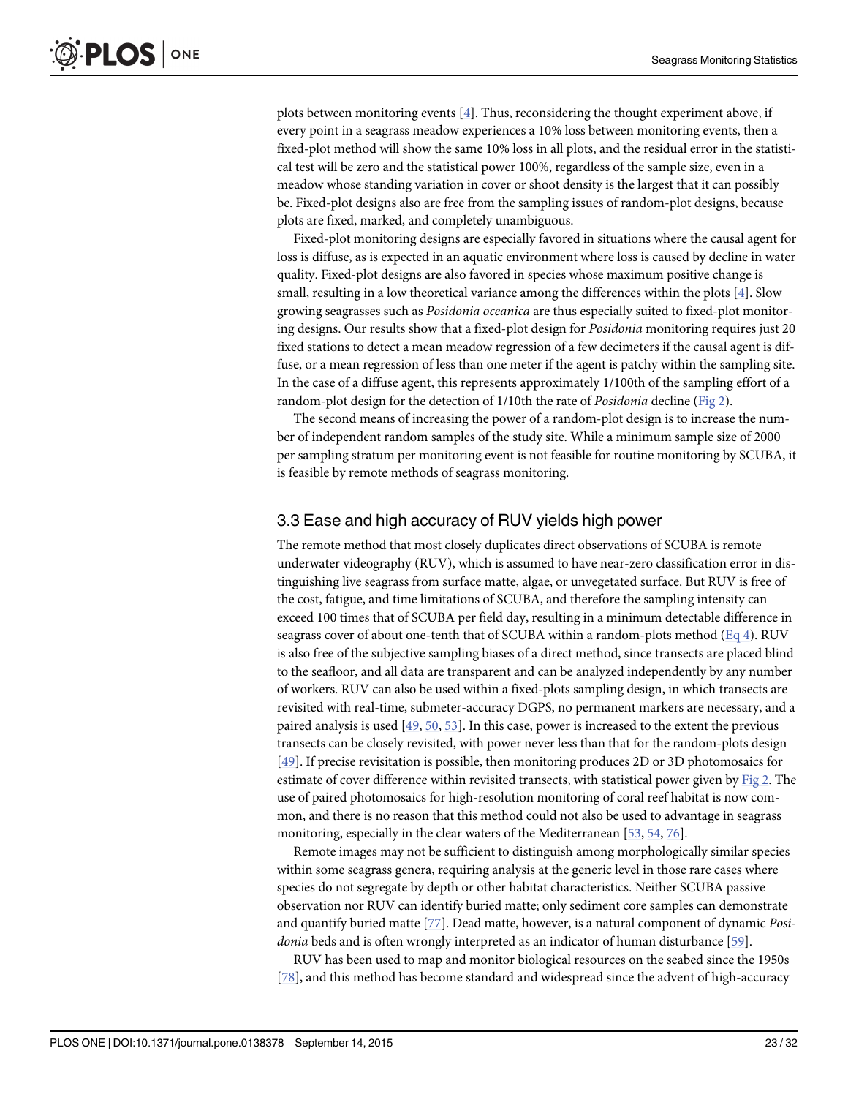<span id="page-22-0"></span>plots between monitoring events [[4\]](#page-27-0). Thus, reconsidering the thought experiment above, if every point in a seagrass meadow experiences a 10% loss between monitoring events, then a fixed-plot method will show the same 10% loss in all plots, and the residual error in the statistical test will be zero and the statistical power 100%, regardless of the sample size, even in a meadow whose standing variation in cover or shoot density is the largest that it can possibly be. Fixed-plot designs also are free from the sampling issues of random-plot designs, because plots are fixed, marked, and completely unambiguous.

Fixed-plot monitoring designs are especially favored in situations where the causal agent for loss is diffuse, as is expected in an aquatic environment where loss is caused by decline in water quality. Fixed-plot designs are also favored in species whose maximum positive change is small, resulting in a low theoretical variance among the differences within the plots [\[4\]](#page-27-0). Slow growing seagrasses such as Posidonia oceanica are thus especially suited to fixed-plot monitoring designs. Our results show that a fixed-plot design for Posidonia monitoring requires just 20 fixed stations to detect a mean meadow regression of a few decimeters if the causal agent is diffuse, or a mean regression of less than one meter if the agent is patchy within the sampling site. In the case of a diffuse agent, this represents approximately 1/100th of the sampling effort of a random-plot design for the detection of 1/10th the rate of Posidonia decline [\(Fig 2\)](#page-9-0).

The second means of increasing the power of a random-plot design is to increase the number of independent random samples of the study site. While a minimum sample size of 2000 per sampling stratum per monitoring event is not feasible for routine monitoring by SCUBA, it is feasible by remote methods of seagrass monitoring.

#### 3.3 Ease and high accuracy of RUV yields high power

The remote method that most closely duplicates direct observations of SCUBA is remote underwater videography (RUV), which is assumed to have near-zero classification error in distinguishing live seagrass from surface matte, algae, or unvegetated surface. But RUV is free of the cost, fatigue, and time limitations of SCUBA, and therefore the sampling intensity can exceed 100 times that of SCUBA per field day, resulting in a minimum detectable difference in seagrass cover of about one-tenth that of SCUBA within a random-plots method ([Eq 4\)](#page-5-0). RUV is also free of the subjective sampling biases of a direct method, since transects are placed blind to the seafloor, and all data are transparent and can be analyzed independently by any number of workers. RUV can also be used within a fixed-plots sampling design, in which transects are revisited with real-time, submeter-accuracy DGPS, no permanent markers are necessary, and a paired analysis is used [\[49,](#page-29-0) [50,](#page-29-0) [53\]](#page-29-0). In this case, power is increased to the extent the previous transects can be closely revisited, with power never less than that for the random-plots design [\[49](#page-29-0)]. If precise revisitation is possible, then monitoring produces 2D or 3D photomosaics for estimate of cover difference within revisited transects, with statistical power given by [Fig 2](#page-9-0). The use of paired photomosaics for high-resolution monitoring of coral reef habitat is now common, and there is no reason that this method could not also be used to advantage in seagrass monitoring, especially in the clear waters of the Mediterranean [\[53](#page-29-0), [54](#page-29-0), [76](#page-30-0)].

Remote images may not be sufficient to distinguish among morphologically similar species within some seagrass genera, requiring analysis at the generic level in those rare cases where species do not segregate by depth or other habitat characteristics. Neither SCUBA passive observation nor RUV can identify buried matte; only sediment core samples can demonstrate and quantify buried matte [\[77\]](#page-30-0). Dead matte, however, is a natural component of dynamic Posidonia beds and is often wrongly interpreted as an indicator of human disturbance [\[59\]](#page-29-0).

RUV has been used to map and monitor biological resources on the seabed since the 1950s [\[78](#page-30-0)], and this method has become standard and widespread since the advent of high-accuracy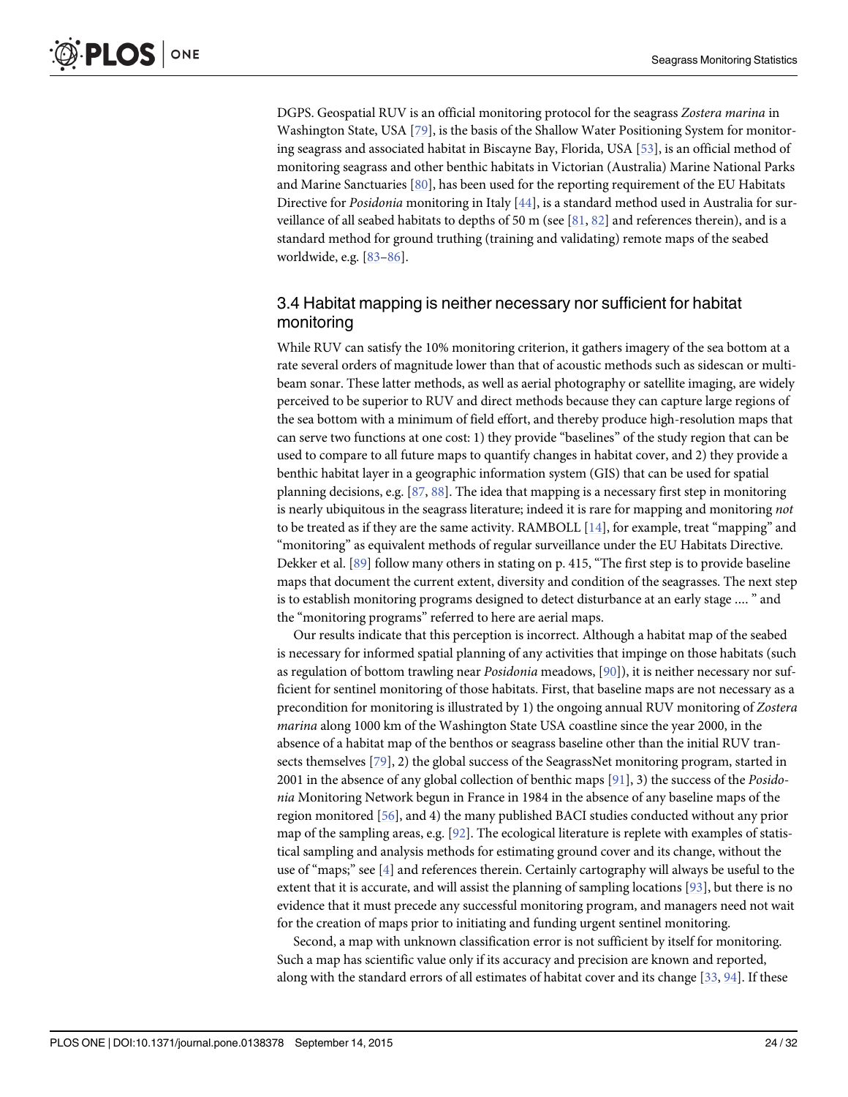<span id="page-23-0"></span>DGPS. Geospatial RUV is an official monitoring protocol for the seagrass Zostera marina in Washington State, USA [[79](#page-30-0)], is the basis of the Shallow Water Positioning System for monitoring seagrass and associated habitat in Biscayne Bay, Florida, USA [[53](#page-29-0)], is an official method of monitoring seagrass and other benthic habitats in Victorian (Australia) Marine National Parks and Marine Sanctuaries [[80](#page-30-0)], has been used for the reporting requirement of the EU Habitats Directive for *Posidonia* monitoring in Italy  $[44]$  $[44]$  $[44]$ , is a standard method used in Australia for surveillance of all seabed habitats to depths of 50 m (see  $[81, 82]$  $[81, 82]$  $[81, 82]$  and references therein), and is a standard method for ground truthing (training and validating) remote maps of the seabed worldwide, e.g. [\[83](#page-30-0)–[86](#page-30-0)].

# 3.4 Habitat mapping is neither necessary nor sufficient for habitat monitoring

While RUV can satisfy the 10% monitoring criterion, it gathers imagery of the sea bottom at a rate several orders of magnitude lower than that of acoustic methods such as sidescan or multibeam sonar. These latter methods, as well as aerial photography or satellite imaging, are widely perceived to be superior to RUV and direct methods because they can capture large regions of the sea bottom with a minimum of field effort, and thereby produce high-resolution maps that can serve two functions at one cost: 1) they provide "baselines" of the study region that can be used to compare to all future maps to quantify changes in habitat cover, and 2) they provide a benthic habitat layer in a geographic information system (GIS) that can be used for spatial planning decisions, e.g.  $[87, 88]$  $[87, 88]$  $[87, 88]$ . The idea that mapping is a necessary first step in monitoring is nearly ubiquitous in the seagrass literature; indeed it is rare for mapping and monitoring not to be treated as if they are the same activity. RAMBOLL [\[14\]](#page-27-0), for example, treat "mapping" and "monitoring" as equivalent methods of regular surveillance under the EU Habitats Directive. Dekker et al. [\[89\]](#page-31-0) follow many others in stating on p. 415, "The first step is to provide baseline maps that document the current extent, diversity and condition of the seagrasses. The next step is to establish monitoring programs designed to detect disturbance at an early stage ‥‥ " and the "monitoring programs" referred to here are aerial maps.

Our results indicate that this perception is incorrect. Although a habitat map of the seabed is necessary for informed spatial planning of any activities that impinge on those habitats (such as regulation of bottom trawling near Posidonia meadows, [[90](#page-31-0)]), it is neither necessary nor sufficient for sentinel monitoring of those habitats. First, that baseline maps are not necessary as a precondition for monitoring is illustrated by 1) the ongoing annual RUV monitoring of Zostera marina along 1000 km of the Washington State USA coastline since the year 2000, in the absence of a habitat map of the benthos or seagrass baseline other than the initial RUV tran-sects themselves [[79](#page-30-0)], 2) the global success of the SeagrassNet monitoring program, started in 2001 in the absence of any global collection of benthic maps [\[91\]](#page-31-0), 3) the success of the Posidonia Monitoring Network begun in France in 1984 in the absence of any baseline maps of the region monitored [[56](#page-29-0)], and 4) the many published BACI studies conducted without any prior map of the sampling areas, e.g. [[92](#page-31-0)]. The ecological literature is replete with examples of statistical sampling and analysis methods for estimating ground cover and its change, without the use of "maps;" see  $[4]$  $[4]$  $[4]$  and references therein. Certainly cartography will always be useful to the extent that it is accurate, and will assist the planning of sampling locations [\[93\]](#page-31-0), but there is no evidence that it must precede any successful monitoring program, and managers need not wait for the creation of maps prior to initiating and funding urgent sentinel monitoring.

Second, a map with unknown classification error is not sufficient by itself for monitoring. Such a map has scientific value only if its accuracy and precision are known and reported, along with the standard errors of all estimates of habitat cover and its change [[33](#page-28-0), [94](#page-31-0)]. If these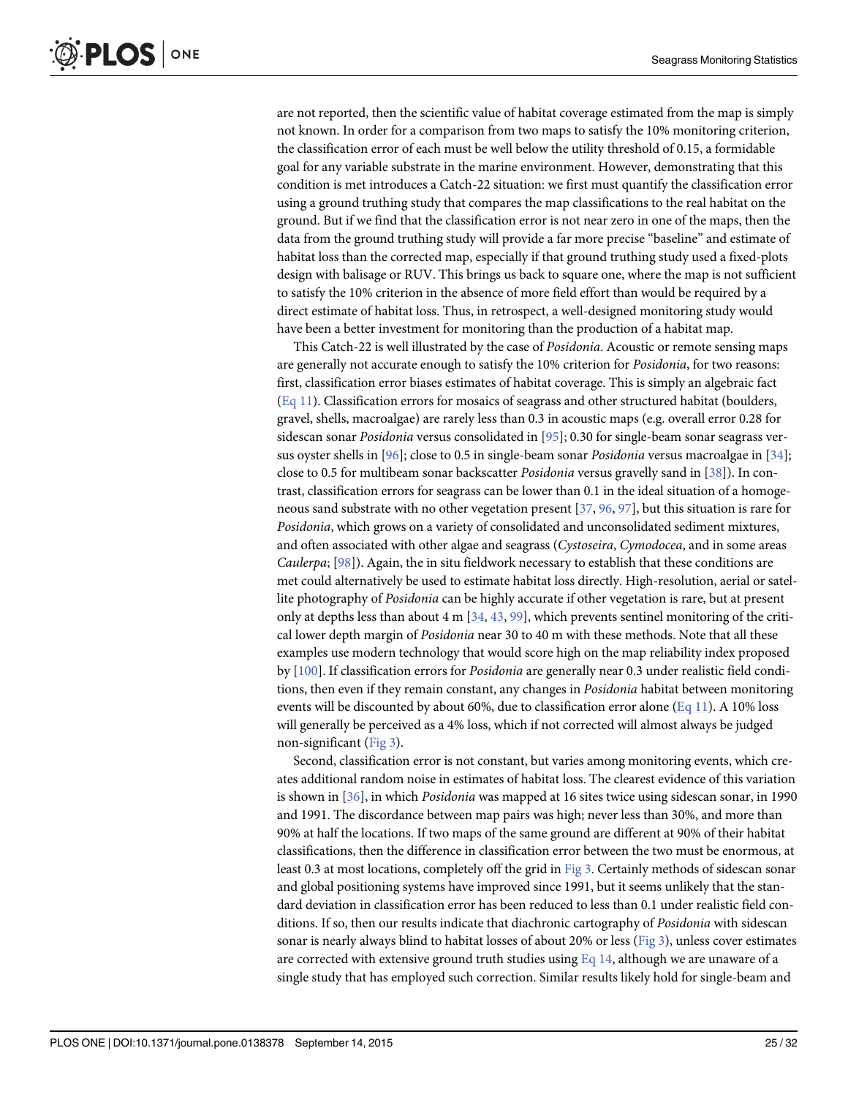<span id="page-24-0"></span>are not reported, then the scientific value of habitat coverage estimated from the map is simply not known. In order for a comparison from two maps to satisfy the 10% monitoring criterion, the classification error of each must be well below the utility threshold of 0.15, a formidable goal for any variable substrate in the marine environment. However, demonstrating that this condition is met introduces a Catch-22 situation: we first must quantify the classification error using a ground truthing study that compares the map classifications to the real habitat on the ground. But if we find that the classification error is not near zero in one of the maps, then the data from the ground truthing study will provide a far more precise "baseline" and estimate of habitat loss than the corrected map, especially if that ground truthing study used a fixed-plots design with balisage or RUV. This brings us back to square one, where the map is not sufficient to satisfy the 10% criterion in the absence of more field effort than would be required by a direct estimate of habitat loss. Thus, in retrospect, a well-designed monitoring study would have been a better investment for monitoring than the production of a habitat map.

This Catch-22 is well illustrated by the case of Posidonia. Acoustic or remote sensing maps are generally not accurate enough to satisfy the 10% criterion for Posidonia, for two reasons: first, classification error biases estimates of habitat coverage. This is simply an algebraic fact [\(Eq 11\)](#page-11-0). Classification errors for mosaics of seagrass and other structured habitat (boulders, gravel, shells, macroalgae) are rarely less than 0.3 in acoustic maps (e.g. overall error 0.28 for sidescan sonar Posidonia versus consolidated in [\[95\]](#page-31-0); 0.30 for single-beam sonar seagrass versus oyster shells in [[96](#page-31-0)]; close to 0.5 in single-beam sonar Posidonia versus macroalgae in [\[34\]](#page-28-0); close to 0.5 for multibeam sonar backscatter Posidonia versus gravelly sand in [[38\]](#page-28-0)). In contrast, classification errors for seagrass can be lower than 0.1 in the ideal situation of a homogeneous sand substrate with no other vegetation present [[37](#page-28-0), [96](#page-31-0), [97](#page-31-0)], but this situation is rare for Posidonia, which grows on a variety of consolidated and unconsolidated sediment mixtures, and often associated with other algae and seagrass (Cystoseira, Cymodocea, and in some areas Caulerpa; [[98\]](#page-31-0)). Again, the in situ fieldwork necessary to establish that these conditions are met could alternatively be used to estimate habitat loss directly. High-resolution, aerial or satellite photography of Posidonia can be highly accurate if other vegetation is rare, but at present only at depths less than about 4 m  $[34, 43, 99]$  $[34, 43, 99]$  $[34, 43, 99]$  $[34, 43, 99]$  $[34, 43, 99]$ , which prevents sentinel monitoring of the critical lower depth margin of Posidonia near 30 to 40 m with these methods. Note that all these examples use modern technology that would score high on the map reliability index proposed by [\[100\]](#page-31-0). If classification errors for Posidonia are generally near 0.3 under realistic field conditions, then even if they remain constant, any changes in *Posidonia* habitat between monitoring events will be discounted by about 60%, due to classification error alone ( $Eq 11$ ). A 10% loss will generally be perceived as a 4% loss, which if not corrected will almost always be judged non-significant [\(Fig 3\)](#page-13-0).

Second, classification error is not constant, but varies among monitoring events, which creates additional random noise in estimates of habitat loss. The clearest evidence of this variation is shown in [\[36](#page-28-0)], in which Posidonia was mapped at 16 sites twice using sidescan sonar, in 1990 and 1991. The discordance between map pairs was high; never less than 30%, and more than 90% at half the locations. If two maps of the same ground are different at 90% of their habitat classifications, then the difference in classification error between the two must be enormous, at least 0.3 at most locations, completely off the grid in [Fig 3](#page-13-0). Certainly methods of sidescan sonar and global positioning systems have improved since 1991, but it seems unlikely that the standard deviation in classification error has been reduced to less than 0.1 under realistic field conditions. If so, then our results indicate that diachronic cartography of *Posidonia* with sidescan sonar is nearly always blind to habitat losses of about 20% or less ( $Fig 3$ ), unless cover estimates are corrected with extensive ground truth studies using  $Eq$  14, although we are unaware of a single study that has employed such correction. Similar results likely hold for single-beam and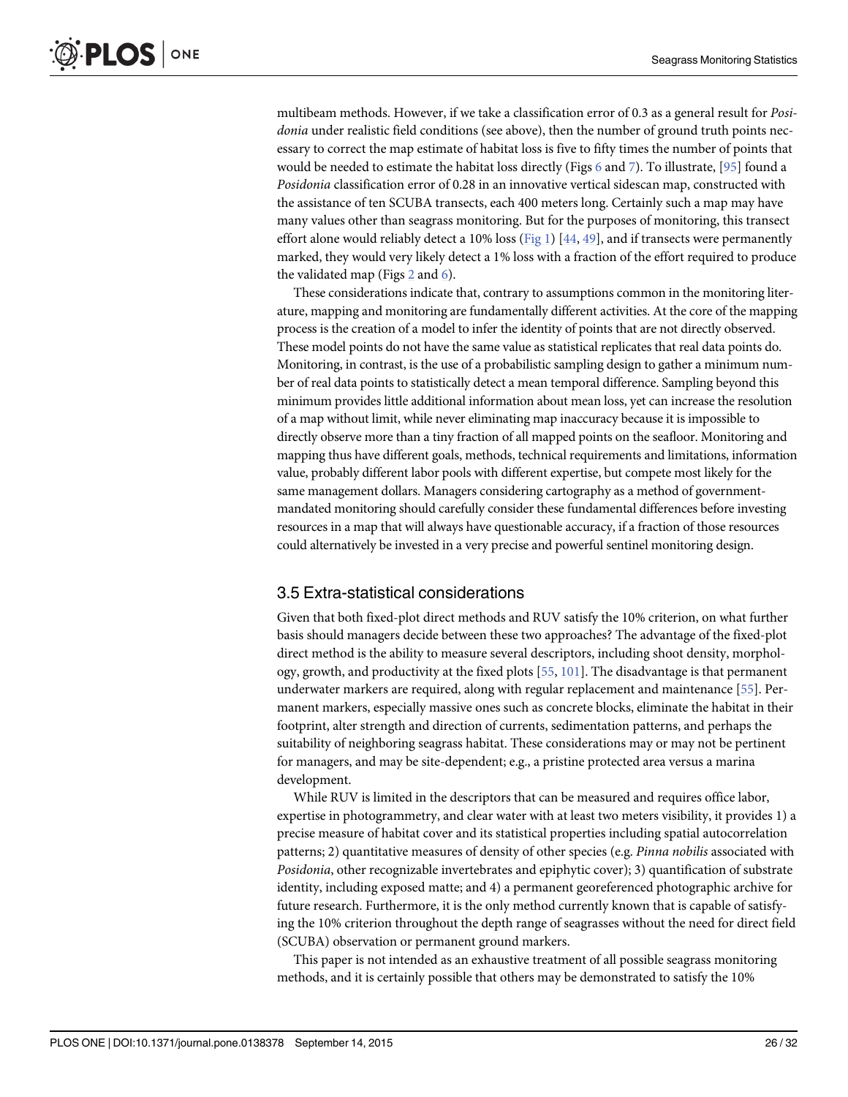<span id="page-25-0"></span>multibeam methods. However, if we take a classification error of 0.3 as a general result for Posidonia under realistic field conditions (see above), then the number of ground truth points necessary to correct the map estimate of habitat loss is five to fifty times the number of points that would be needed to estimate the habitat loss directly (Figs  $6$  and  $7$ ). To illustrate, [[95](#page-31-0)] found a Posidonia classification error of 0.28 in an innovative vertical sidescan map, constructed with the assistance of ten SCUBA transects, each 400 meters long. Certainly such a map may have many values other than seagrass monitoring. But for the purposes of monitoring, this transect effort alone would reliably detect a 10% loss [\(Fig 1\)](#page-7-0) [[44](#page-29-0), [49](#page-29-0)], and if transects were permanently marked, they would very likely detect a 1% loss with a fraction of the effort required to produce the validated map (Figs [2](#page-9-0) and [6\)](#page-17-0).

These considerations indicate that, contrary to assumptions common in the monitoring literature, mapping and monitoring are fundamentally different activities. At the core of the mapping process is the creation of a model to infer the identity of points that are not directly observed. These model points do not have the same value as statistical replicates that real data points do. Monitoring, in contrast, is the use of a probabilistic sampling design to gather a minimum number of real data points to statistically detect a mean temporal difference. Sampling beyond this minimum provides little additional information about mean loss, yet can increase the resolution of a map without limit, while never eliminating map inaccuracy because it is impossible to directly observe more than a tiny fraction of all mapped points on the seafloor. Monitoring and mapping thus have different goals, methods, technical requirements and limitations, information value, probably different labor pools with different expertise, but compete most likely for the same management dollars. Managers considering cartography as a method of governmentmandated monitoring should carefully consider these fundamental differences before investing resources in a map that will always have questionable accuracy, if a fraction of those resources could alternatively be invested in a very precise and powerful sentinel monitoring design.

#### 3.5 Extra-statistical considerations

Given that both fixed-plot direct methods and RUV satisfy the 10% criterion, on what further basis should managers decide between these two approaches? The advantage of the fixed-plot direct method is the ability to measure several descriptors, including shoot density, morphology, growth, and productivity at the fixed plots [[55](#page-29-0), [101](#page-31-0)]. The disadvantage is that permanent underwater markers are required, along with regular replacement and maintenance [[55](#page-29-0)]. Permanent markers, especially massive ones such as concrete blocks, eliminate the habitat in their footprint, alter strength and direction of currents, sedimentation patterns, and perhaps the suitability of neighboring seagrass habitat. These considerations may or may not be pertinent for managers, and may be site-dependent; e.g., a pristine protected area versus a marina development.

While RUV is limited in the descriptors that can be measured and requires office labor, expertise in photogrammetry, and clear water with at least two meters visibility, it provides 1) a precise measure of habitat cover and its statistical properties including spatial autocorrelation patterns; 2) quantitative measures of density of other species (e.g. Pinna nobilis associated with Posidonia, other recognizable invertebrates and epiphytic cover); 3) quantification of substrate identity, including exposed matte; and 4) a permanent georeferenced photographic archive for future research. Furthermore, it is the only method currently known that is capable of satisfying the 10% criterion throughout the depth range of seagrasses without the need for direct field (SCUBA) observation or permanent ground markers.

This paper is not intended as an exhaustive treatment of all possible seagrass monitoring methods, and it is certainly possible that others may be demonstrated to satisfy the 10%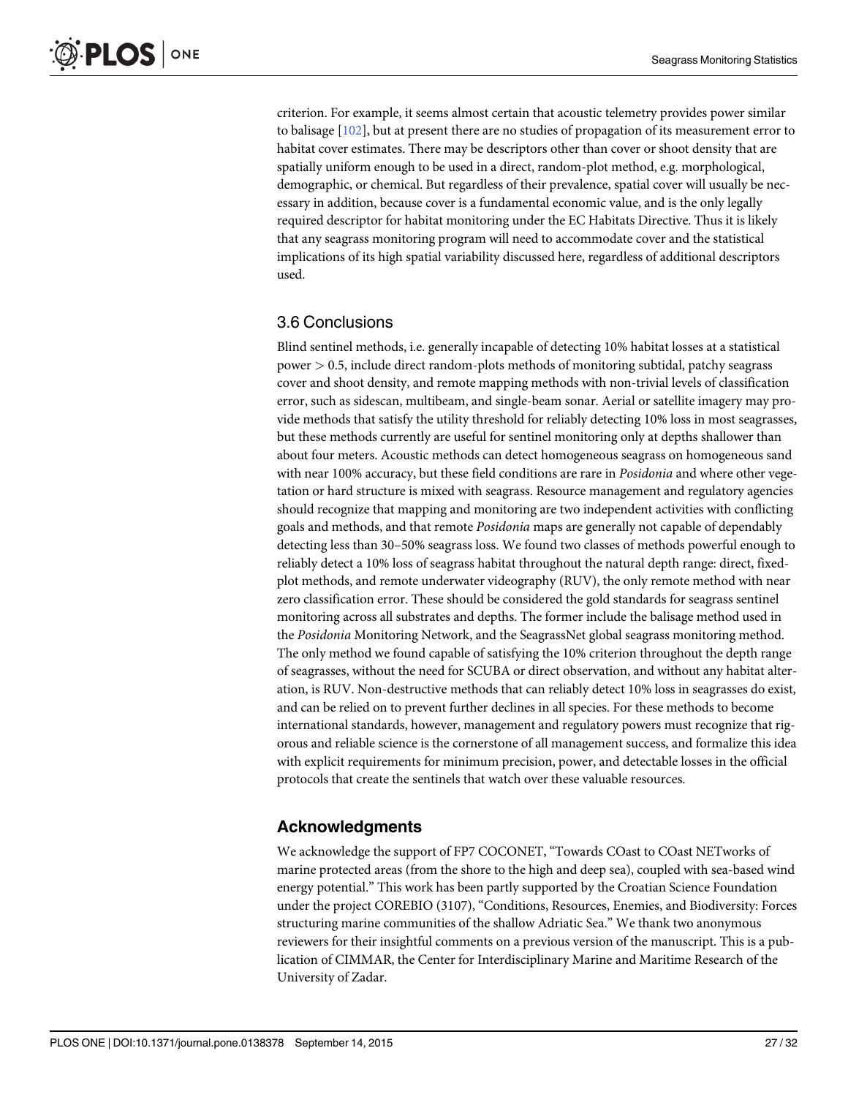<span id="page-26-0"></span>criterion. For example, it seems almost certain that acoustic telemetry provides power similar to balisage [\[102\]](#page-31-0), but at present there are no studies of propagation of its measurement error to habitat cover estimates. There may be descriptors other than cover or shoot density that are spatially uniform enough to be used in a direct, random-plot method, e.g. morphological, demographic, or chemical. But regardless of their prevalence, spatial cover will usually be necessary in addition, because cover is a fundamental economic value, and is the only legally required descriptor for habitat monitoring under the EC Habitats Directive. Thus it is likely that any seagrass monitoring program will need to accommodate cover and the statistical implications of its high spatial variability discussed here, regardless of additional descriptors used.

# 3.6 Conclusions

Blind sentinel methods, i.e. generally incapable of detecting 10% habitat losses at a statistical power > 0.5, include direct random-plots methods of monitoring subtidal, patchy seagrass cover and shoot density, and remote mapping methods with non-trivial levels of classification error, such as sidescan, multibeam, and single-beam sonar. Aerial or satellite imagery may provide methods that satisfy the utility threshold for reliably detecting 10% loss in most seagrasses, but these methods currently are useful for sentinel monitoring only at depths shallower than about four meters. Acoustic methods can detect homogeneous seagrass on homogeneous sand with near 100% accuracy, but these field conditions are rare in Posidonia and where other vegetation or hard structure is mixed with seagrass. Resource management and regulatory agencies should recognize that mapping and monitoring are two independent activities with conflicting goals and methods, and that remote Posidonia maps are generally not capable of dependably detecting less than 30–50% seagrass loss. We found two classes of methods powerful enough to reliably detect a 10% loss of seagrass habitat throughout the natural depth range: direct, fixedplot methods, and remote underwater videography (RUV), the only remote method with near zero classification error. These should be considered the gold standards for seagrass sentinel monitoring across all substrates and depths. The former include the balisage method used in the Posidonia Monitoring Network, and the SeagrassNet global seagrass monitoring method. The only method we found capable of satisfying the 10% criterion throughout the depth range of seagrasses, without the need for SCUBA or direct observation, and without any habitat alteration, is RUV. Non-destructive methods that can reliably detect 10% loss in seagrasses do exist, and can be relied on to prevent further declines in all species. For these methods to become international standards, however, management and regulatory powers must recognize that rigorous and reliable science is the cornerstone of all management success, and formalize this idea with explicit requirements for minimum precision, power, and detectable losses in the official protocols that create the sentinels that watch over these valuable resources.

# Acknowledgments

We acknowledge the support of FP7 COCONET, "Towards COast to COast NETworks of marine protected areas (from the shore to the high and deep sea), coupled with sea-based wind energy potential." This work has been partly supported by the Croatian Science Foundation under the project COREBIO (3107), "Conditions, Resources, Enemies, and Biodiversity: Forces structuring marine communities of the shallow Adriatic Sea." We thank two anonymous reviewers for their insightful comments on a previous version of the manuscript. This is a publication of CIMMAR, the Center for Interdisciplinary Marine and Maritime Research of the University of Zadar.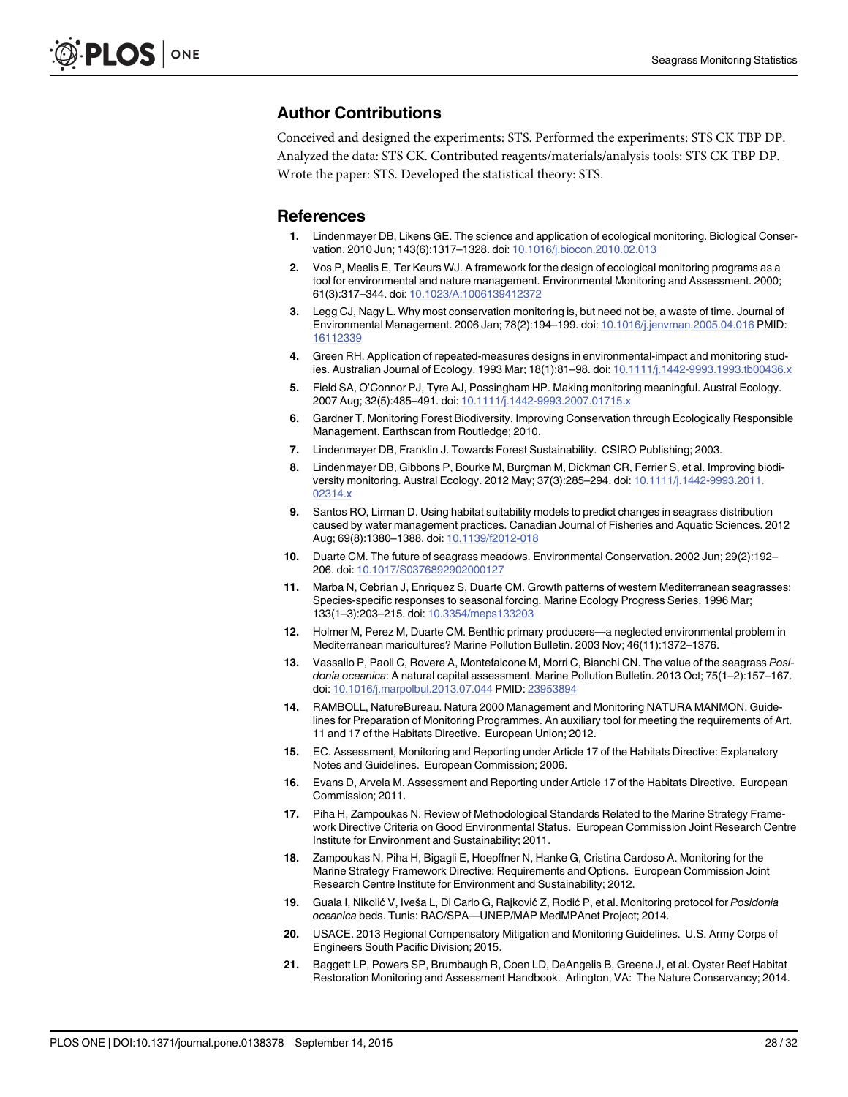#### <span id="page-27-0"></span>Author Contributions

Conceived and designed the experiments: STS. Performed the experiments: STS CK TBP DP. Analyzed the data: STS CK. Contributed reagents/materials/analysis tools: STS CK TBP DP. Wrote the paper: STS. Developed the statistical theory: STS.

#### References

- [1.](#page-0-0) Lindenmayer DB, Likens GE. The science and application of ecological monitoring. Biological Conservation. 2010 Jun; 143(6):1317–1328. doi: [10.1016/j.biocon.2010.02.013](http://dx.doi.org/10.1016/j.biocon.2010.02.013)
- [2.](#page-1-0) Vos P, Meelis E, Ter Keurs WJ. A framework for the design of ecological monitoring programs as a tool for environmental and nature management. Environmental Monitoring and Assessment. 2000; 61(3):317–344. doi: [10.1023/A:1006139412372](http://dx.doi.org/10.1023/A:1006139412372)
- [3.](#page-1-0) Legg CJ, Nagy L. Why most conservation monitoring is, but need not be, a waste of time. Journal of Environmental Management. 2006 Jan; 78(2):194–199. doi: [10.1016/j.jenvman.2005.04.016](http://dx.doi.org/10.1016/j.jenvman.2005.04.016) PMID: [16112339](http://www.ncbi.nlm.nih.gov/pubmed/16112339)
- [4.](#page-1-0) Green RH. Application of repeated-measures designs in environmental-impact and monitoring studies. Australian Journal of Ecology. 1993 Mar; 18(1):81–98. doi: [10.1111/j.1442-9993.1993.tb00436.x](http://dx.doi.org/10.1111/j.1442-9993.1993.tb00436.x)
- [5.](#page-1-0) Field SA, O'Connor PJ, Tyre AJ, Possingham HP. Making monitoring meaningful. Austral Ecology. 2007 Aug; 32(5):485-491. doi: 10.1111/j.1442-9993.2007.01715.
- [6.](#page-1-0) Gardner T. Monitoring Forest Biodiversity. Improving Conservation through Ecologically Responsible Management. Earthscan from Routledge; 2010.
- [7.](#page-1-0) Lindenmayer DB, Franklin J. Towards Forest Sustainability. CSIRO Publishing; 2003.
- [8.](#page-1-0) Lindenmayer DB, Gibbons P, Bourke M, Burgman M, Dickman CR, Ferrier S, et al. Improving biodiversity monitoring. Austral Ecology. 2012 May; 37(3):285–294. doi: [10.1111/j.1442-9993.2011.](http://dx.doi.org/10.1111/j.1442-9993.2011.02314.x) [02314.x](http://dx.doi.org/10.1111/j.1442-9993.2011.02314.x)
- [9.](#page-1-0) Santos RO, Lirman D. Using habitat suitability models to predict changes in seagrass distribution caused by water management practices. Canadian Journal of Fisheries and Aquatic Sciences. 2012 Aug; 69(8):1380–1388. doi: [10.1139/f2012-018](http://dx.doi.org/10.1139/f2012-018)
- [10.](#page-1-0) Duarte CM. The future of seagrass meadows. Environmental Conservation. 2002 Jun; 29(2):192– 206. doi: [10.1017/S0376892902000127](http://dx.doi.org/10.1017/S0376892902000127)
- [11.](#page-1-0) Marba N, Cebrian J, Enriquez S, Duarte CM. Growth patterns of western Mediterranean seagrasses: Species-specific responses to seasonal forcing. Marine Ecology Progress Series. 1996 Mar; 133(1–3):203–215. doi: [10.3354/meps133203](http://dx.doi.org/10.3354/meps133203)
- [12.](#page-1-0) Holmer M, Perez M, Duarte CM. Benthic primary producers—a neglected environmental problem in Mediterranean maricultures? Marine Pollution Bulletin. 2003 Nov; 46(11):1372–1376.
- [13.](#page-1-0) Vassallo P, Paoli C, Rovere A, Montefalcone M, Morri C, Bianchi CN. The value of the seagrass Posidonia oceanica: A natural capital assessment. Marine Pollution Bulletin. 2013 Oct; 75(1–2):157–167. doi: [10.1016/j.marpolbul.2013.07.044](http://dx.doi.org/10.1016/j.marpolbul.2013.07.044) PMID: [23953894](http://www.ncbi.nlm.nih.gov/pubmed/23953894)
- [14.](#page-2-0) RAMBOLL, NatureBureau. Natura 2000 Management and Monitoring NATURA MANMON. Guidelines for Preparation of Monitoring Programmes. An auxiliary tool for meeting the requirements of Art. 11 and 17 of the Habitats Directive. European Union; 2012.
- 15. EC. Assessment, Monitoring and Reporting under Article 17 of the Habitats Directive: Explanatory Notes and Guidelines. European Commission; 2006.
- 16. Evans D, Arvela M. Assessment and Reporting under Article 17 of the Habitats Directive. European Commission; 2011.
- 17. Piha H, Zampoukas N. Review of Methodological Standards Related to the Marine Strategy Framework Directive Criteria on Good Environmental Status. European Commission Joint Research Centre Institute for Environment and Sustainability; 2011.
- 18. Zampoukas N, Piha H, Bigagli E, Hoepffner N, Hanke G, Cristina Cardoso A. Monitoring for the Marine Strategy Framework Directive: Requirements and Options. European Commission Joint Research Centre Institute for Environment and Sustainability; 2012.
- [19.](#page-2-0) Guala I, Nikolić V, Iveša L, Di Carlo G, Rajković Z, Rodić P, et al. Monitoring protocol for Posidonia oceanica beds. Tunis: RAC/SPA—UNEP/MAP MedMPAnet Project; 2014.
- [20.](#page-2-0) USACE. 2013 Regional Compensatory Mitigation and Monitoring Guidelines. U.S. Army Corps of Engineers South Pacific Division; 2015.
- 21. Baggett LP, Powers SP, Brumbaugh R, Coen LD, DeAngelis B, Greene J, et al. Oyster Reef Habitat Restoration Monitoring and Assessment Handbook. Arlington, VA: The Nature Conservancy; 2014.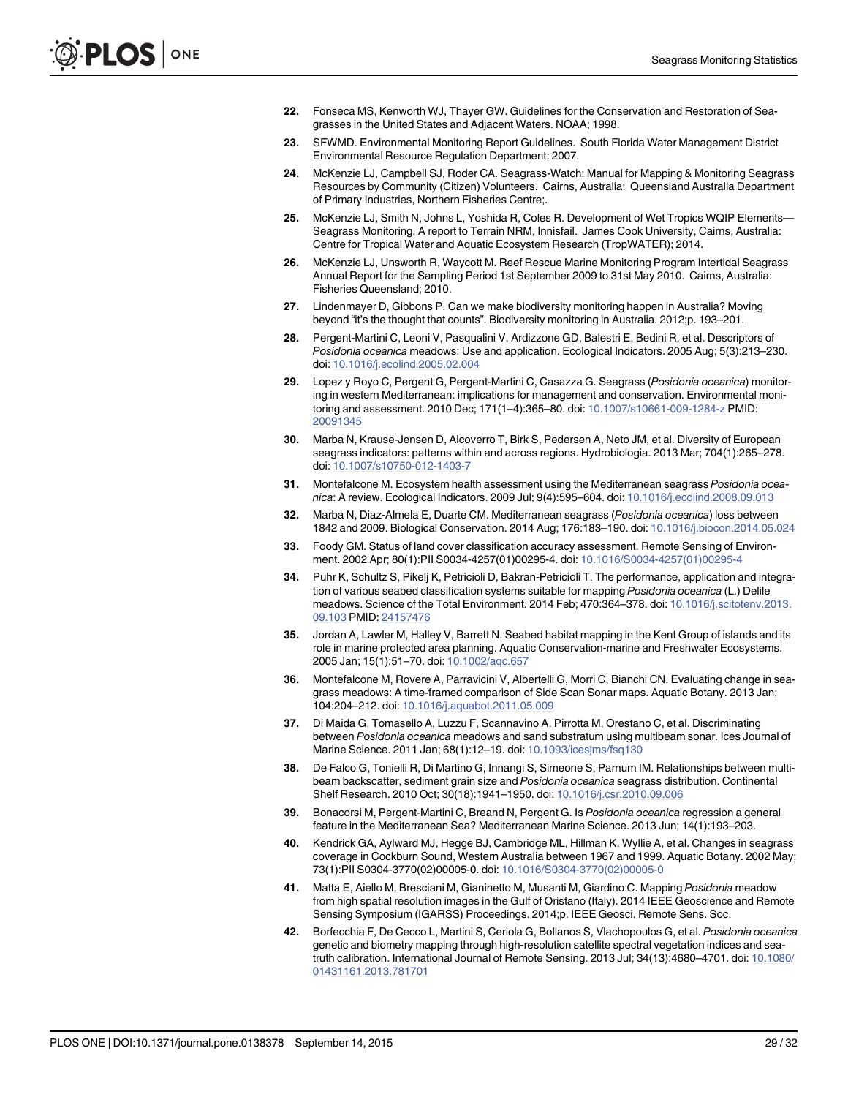- <span id="page-28-0"></span>22. Fonseca MS, Kenworth WJ, Thayer GW. Guidelines for the Conservation and Restoration of Seagrasses in the United States and Adjacent Waters. NOAA; 1998.
- [23.](#page-2-0) SFWMD. Environmental Monitoring Report Guidelines. South Florida Water Management District Environmental Resource Regulation Department; 2007.
- [24.](#page-2-0) McKenzie LJ, Campbell SJ, Roder CA. Seagrass-Watch: Manual for Mapping & Monitoring Seagrass Resources by Community (Citizen) Volunteers. Cairns, Australia: Queensland Australia Department of Primary Industries, Northern Fisheries Centre;.
- 25. McKenzie LJ, Smith N, Johns L, Yoshida R, Coles R. Development of Wet Tropics WQIP Elements— Seagrass Monitoring. A report to Terrain NRM, Innisfail. James Cook University, Cairns, Australia: Centre for Tropical Water and Aquatic Ecosystem Research (TropWATER); 2014.
- [26.](#page-2-0) McKenzie LJ, Unsworth R, Waycott M. Reef Rescue Marine Monitoring Program Intertidal Seagrass Annual Report for the Sampling Period 1st September 2009 to 31st May 2010. Cairns, Australia: Fisheries Queensland; 2010.
- [27.](#page-2-0) Lindenmayer D, Gibbons P. Can we make biodiversity monitoring happen in Australia? Moving beyond "it's the thought that counts". Biodiversity monitoring in Australia. 2012;p. 193–201.
- [28.](#page-2-0) Pergent-Martini C, Leoni V, Pasqualini V, Ardizzone GD, Balestri E, Bedini R, et al. Descriptors of Posidonia oceanica meadows: Use and application. Ecological Indicators. 2005 Aug; 5(3):213–230. doi: [10.1016/j.ecolind.2005.02.004](http://dx.doi.org/10.1016/j.ecolind.2005.02.004)
- [29.](#page-6-0) Lopez y Royo C, Pergent G, Pergent-Martini C, Casazza G. Seagrass (Posidonia oceanica) monitoring in western Mediterranean: implications for management and conservation. Environmental monitoring and assessment. 2010 Dec; 171(1–4):365–80. doi: [10.1007/s10661-009-1284-z](http://dx.doi.org/10.1007/s10661-009-1284-z) PMID: [20091345](http://www.ncbi.nlm.nih.gov/pubmed/20091345)
- [30.](#page-2-0) Marba N, Krause-Jensen D, Alcoverro T, Birk S, Pedersen A, Neto JM, et al. Diversity of European seagrass indicators: patterns within and across regions. Hydrobiologia. 2013 Mar; 704(1):265–278. doi: [10.1007/s10750-012-1403-7](http://dx.doi.org/10.1007/s10750-012-1403-7)
- [31.](#page-2-0) Montefalcone M. Ecosystem health assessment using the Mediterranean seagrass Posidonia oceanica: A review. Ecological Indicators. 2009 Jul; 9(4):595–604. doi: [10.1016/j.ecolind.2008.09.013](http://dx.doi.org/10.1016/j.ecolind.2008.09.013)
- [32.](#page-2-0) Marba N, Diaz-Almela E, Duarte CM. Mediterranean seagrass (Posidonia oceanica) loss between 1842 and 2009. Biological Conservation. 2014 Aug; 176:183–190. doi: [10.1016/j.biocon.2014.05.024](http://dx.doi.org/10.1016/j.biocon.2014.05.024)
- [33.](#page-3-0) Foody GM. Status of land cover classification accuracy assessment. Remote Sensing of Environment. 2002 Apr; 80(1):PII S0034-4257(01)00295-4. doi: [10.1016/S0034-4257\(01\)00295-4](http://dx.doi.org/10.1016/S0034-4257(01)00295-4)
- [34.](#page-3-0) Puhr K, Schultz S, Pikelj K, Petricioli D, Bakran-Petricioli T. The performance, application and integration of various seabed classification systems suitable for mapping Posidonia oceanica (L.) Delile meadows. Science of the Total Environment. 2014 Feb; 470:364–378. doi: [10.1016/j.scitotenv.2013.](http://dx.doi.org/10.1016/j.scitotenv.2013.09.103) [09.103](http://dx.doi.org/10.1016/j.scitotenv.2013.09.103) PMID: [24157476](http://www.ncbi.nlm.nih.gov/pubmed/24157476)
- [35.](#page-3-0) Jordan A, Lawler M, Halley V, Barrett N. Seabed habitat mapping in the Kent Group of islands and its role in marine protected area planning. Aquatic Conservation-marine and Freshwater Ecosystems. 2005 Jan; 15(1):51–70. doi: [10.1002/aqc.657](http://dx.doi.org/10.1002/aqc.657)
- [36.](#page-3-0) Montefalcone M, Rovere A, Parravicini V, Albertelli G, Morri C, Bianchi CN. Evaluating change in seagrass meadows: A time-framed comparison of Side Scan Sonar maps. Aquatic Botany. 2013 Jan; 104:204–212. doi: [10.1016/j.aquabot.2011.05.009](http://dx.doi.org/10.1016/j.aquabot.2011.05.009)
- [37.](#page-3-0) Di Maida G, Tomasello A, Luzzu F, Scannavino A, Pirrotta M, Orestano C, et al. Discriminating between Posidonia oceanica meadows and sand substratum using multibeam sonar. Ices Journal of Marine Science. 2011 Jan; 68(1):12–19. doi: [10.1093/icesjms/fsq130](http://dx.doi.org/10.1093/icesjms/fsq130)
- [38.](#page-3-0) De Falco G, Tonielli R, Di Martino G, Innangi S, Simeone S, Parnum IM. Relationships between multibeam backscatter, sediment grain size and Posidonia oceanica seagrass distribution. Continental Shelf Research. 2010 Oct; 30(18):1941–1950. doi: [10.1016/j.csr.2010.09.006](http://dx.doi.org/10.1016/j.csr.2010.09.006)
- [39.](#page-3-0) Bonacorsi M, Pergent-Martini C, Breand N, Pergent G. Is Posidonia oceanica regression a general feature in the Mediterranean Sea? Mediterranean Marine Science. 2013 Jun; 14(1):193–203.
- [40.](#page-3-0) Kendrick GA, Aylward MJ, Hegge BJ, Cambridge ML, Hillman K, Wyllie A, et al. Changes in seagrass coverage in Cockburn Sound, Western Australia between 1967 and 1999. Aquatic Botany. 2002 May; 73(1):PII S0304-3770(02)00005-0. doi: [10.1016/S0304-3770\(02\)00005-0](http://dx.doi.org/10.1016/S0304-3770(02)00005-0)
- [41.](#page-3-0) Matta E, Aiello M, Bresciani M, Gianinetto M, Musanti M, Giardino C. Mapping Posidonia meadow from high spatial resolution images in the Gulf of Oristano (Italy). 2014 IEEE Geoscience and Remote Sensing Symposium (IGARSS) Proceedings. 2014;p. IEEE Geosci. Remote Sens. Soc.
- 42. Borfecchia F, De Cecco L, Martini S, Ceriola G, Bollanos S, Vlachopoulos G, et al. Posidonia oceanica genetic and biometry mapping through high-resolution satellite spectral vegetation indices and seatruth calibration. International Journal of Remote Sensing. 2013 Jul; 34(13):4680–4701. doi: [10.1080/](http://dx.doi.org/10.1080/01431161.2013.781701) [01431161.2013.781701](http://dx.doi.org/10.1080/01431161.2013.781701)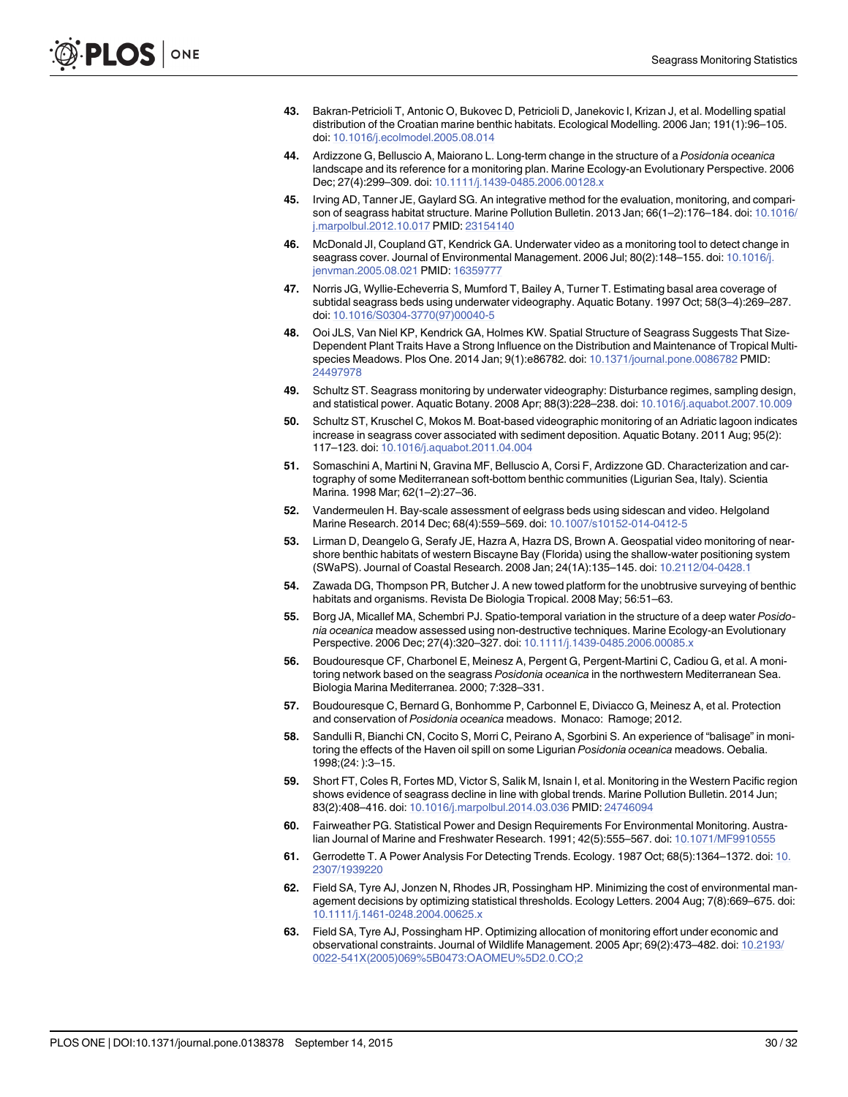- <span id="page-29-0"></span>[43.](#page-3-0) Bakran-Petricioli T, Antonic O, Bukovec D, Petricioli D, Janekovic I, Krizan J, et al. Modelling spatial distribution of the Croatian marine benthic habitats. Ecological Modelling. 2006 Jan; 191(1):96–105. doi: [10.1016/j.ecolmodel.2005.08.014](http://dx.doi.org/10.1016/j.ecolmodel.2005.08.014)
- [44.](#page-3-0) Ardizzone G, Belluscio A, Maiorano L. Long-term change in the structure of a Posidonia oceanica landscape and its reference for a monitoring plan. Marine Ecology-an Evolutionary Perspective. 2006 Dec; 27(4):299-309. doi: [10.1111/j.1439-0485.2006.00128.x](http://dx.doi.org/10.1111/j.1439-0485.2006.00128.x)
- 45. Irving AD, Tanner JE, Gaylard SG. An integrative method for the evaluation, monitoring, and compari-son of seagrass habitat structure. Marine Pollution Bulletin. 2013 Jan; 66(1-2):176-184. doi: [10.1016/](http://dx.doi.org/10.1016/j.marpolbul.2012.10.017) [j.marpolbul.2012.10.017](http://dx.doi.org/10.1016/j.marpolbul.2012.10.017) PMID: [23154140](http://www.ncbi.nlm.nih.gov/pubmed/23154140)
- 46. McDonald JI, Coupland GT, Kendrick GA. Underwater video as a monitoring tool to detect change in seagrass cover. Journal of Environmental Management. 2006 Jul; 80(2):148-155. doi: [10.1016/j.](http://dx.doi.org/10.1016/j.jenvman.2005.08.021) [jenvman.2005.08.021](http://dx.doi.org/10.1016/j.jenvman.2005.08.021) PMID: [16359777](http://www.ncbi.nlm.nih.gov/pubmed/16359777)
- 47. Norris JG, Wyllie-Echeverria S, Mumford T, Bailey A, Turner T. Estimating basal area coverage of subtidal seagrass beds using underwater videography. Aquatic Botany. 1997 Oct; 58(3–4):269–287. doi: [10.1016/S0304-3770\(97\)00040-5](http://dx.doi.org/10.1016/S0304-3770(97)00040-5)
- 48. Ooi JLS, Van Niel KP, Kendrick GA, Holmes KW. Spatial Structure of Seagrass Suggests That Size-Dependent Plant Traits Have a Strong Influence on the Distribution and Maintenance of Tropical Multispecies Meadows. Plos One. 2014 Jan; 9(1):e86782. doi: [10.1371/journal.pone.0086782](http://dx.doi.org/10.1371/journal.pone.0086782) PMID: [24497978](http://www.ncbi.nlm.nih.gov/pubmed/24497978)
- [49.](#page-10-0) Schultz ST. Seagrass monitoring by underwater videography: Disturbance regimes, sampling design, and statistical power. Aquatic Botany. 2008 Apr; 88(3):228–238. doi: [10.1016/j.aquabot.2007.10.009](http://dx.doi.org/10.1016/j.aquabot.2007.10.009)
- [50.](#page-22-0) Schultz ST, Kruschel C, Mokos M. Boat-based videographic monitoring of an Adriatic lagoon indicates increase in seagrass cover associated with sediment deposition. Aquatic Botany. 2011 Aug; 95(2): 117–123. doi: [10.1016/j.aquabot.2011.04.004](http://dx.doi.org/10.1016/j.aquabot.2011.04.004)
- [51.](#page-3-0) Somaschini A, Martini N, Gravina MF, Belluscio A, Corsi F, Ardizzone GD. Characterization and cartography of some Mediterranean soft-bottom benthic communities (Ligurian Sea, Italy). Scientia Marina. 1998 Mar; 62(1–2):27–36.
- [52.](#page-3-0) Vandermeulen H. Bay-scale assessment of eelgrass beds using sidescan and video. Helgoland Marine Research. 2014 Dec; 68(4):559–569. doi: [10.1007/s10152-014-0412-5](http://dx.doi.org/10.1007/s10152-014-0412-5)
- [53.](#page-3-0) Lirman D, Deangelo G, Serafy JE, Hazra A, Hazra DS, Brown A. Geospatial video monitoring of nearshore benthic habitats of western Biscayne Bay (Florida) using the shallow-water positioning system (SWaPS). Journal of Coastal Research. 2008 Jan; 24(1A):135–145. doi: [10.2112/04-0428.1](http://dx.doi.org/10.2112/04-0428.1)
- [54.](#page-3-0) Zawada DG, Thompson PR, Butcher J. A new towed platform for the unobtrusive surveying of benthic habitats and organisms. Revista De Biologia Tropical. 2008 May; 56:51–63.
- [55.](#page-3-0) Borg JA, Micallef MA, Schembri PJ. Spatio-temporal variation in the structure of a deep water Posidonia oceanica meadow assessed using non-destructive techniques. Marine Ecology-an Evolutionary Perspective. 2006 Dec; 27(4):320–327. doi: [10.1111/j.1439-0485.2006.00085.x](http://dx.doi.org/10.1111/j.1439-0485.2006.00085.x)
- [56.](#page-21-0) Boudouresque CF, Charbonel E, Meinesz A, Pergent G, Pergent-Martini C, Cadiou G, et al. A monitoring network based on the seagrass Posidonia oceanica in the northwestern Mediterranean Sea. Biologia Marina Mediterranea. 2000; 7:328–331.
- [57.](#page-3-0) Boudouresque C, Bernard G, Bonhomme P, Carbonnel E, Diviacco G, Meinesz A, et al. Protection and conservation of Posidonia oceanica meadows. Monaco: Ramoge; 2012.
- 58. Sandulli R, Bianchi CN, Cocito S, Morri C, Peirano A, Sgorbini S. An experience of "balisage" in monitoring the effects of the Haven oil spill on some Ligurian Posidonia oceanica meadows. Oebalia. 1998;(24: ):3–15.
- [59.](#page-3-0) Short FT, Coles R, Fortes MD, Victor S, Salik M, Isnain I, et al. Monitoring in the Western Pacific region shows evidence of seagrass decline in line with global trends. Marine Pollution Bulletin. 2014 Jun; 83(2):408–416. doi: [10.1016/j.marpolbul.2014.03.036](http://dx.doi.org/10.1016/j.marpolbul.2014.03.036) PMID: [24746094](http://www.ncbi.nlm.nih.gov/pubmed/24746094)
- [60.](#page-4-0) Fairweather PG. Statistical Power and Design Requirements For Environmental Monitoring. Australian Journal of Marine and Freshwater Research. 1991; 42(5):555–567. doi: [10.1071/MF9910555](http://dx.doi.org/10.1071/MF9910555)
- [61.](#page-4-0) Gerrodette T. A Power Analysis For Detecting Trends. Ecology. 1987 Oct; 68(5):1364–1372. doi: [10.](http://dx.doi.org/10.2307/1939220) [2307/1939220](http://dx.doi.org/10.2307/1939220)
- [62.](#page-4-0) Field SA, Tyre AJ, Jonzen N, Rhodes JR, Possingham HP. Minimizing the cost of environmental management decisions by optimizing statistical thresholds. Ecology Letters. 2004 Aug; 7(8):669–675. doi: [10.1111/j.1461-0248.2004.00625.x](http://dx.doi.org/10.1111/j.1461-0248.2004.00625.x)
- [63.](#page-4-0) Field SA, Tyre AJ, Possingham HP. Optimizing allocation of monitoring effort under economic and observational constraints. Journal of Wildlife Management. 2005 Apr; 69(2):473–482. doi: [10.2193/](http://dx.doi.org/10.2193/0022-541X(2005)069%5B0473:OAOMEU%5D2.0.CO;2) [0022-541X\(2005\)069%5B0473:OAOMEU%5D2.0.CO;2](http://dx.doi.org/10.2193/0022-541X(2005)069%5B0473:OAOMEU%5D2.0.CO;2)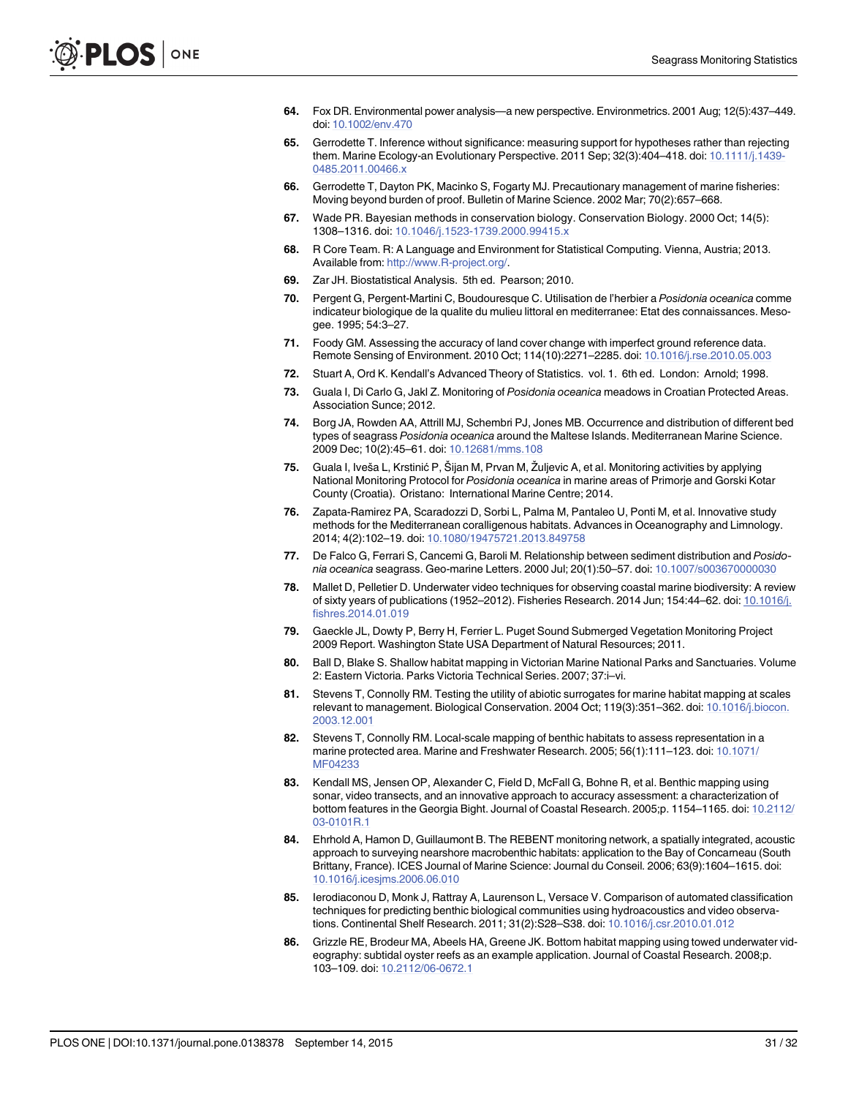- <span id="page-30-0"></span>64. Fox DR. Environmental power analysis—a new perspective. Environmetrics. 2001 Aug; 12(5):437–449. doi: [10.1002/env.470](http://dx.doi.org/10.1002/env.470)
- 65. Gerrodette T. Inference without significance: measuring support for hypotheses rather than rejecting them. Marine Ecology-an Evolutionary Perspective. 2011 Sep; 32(3):404–418. doi: [10.1111/j.1439-](http://dx.doi.org/10.1111/j.1439-0485.2011.00466.x) [0485.2011.00466.x](http://dx.doi.org/10.1111/j.1439-0485.2011.00466.x)
- 66. Gerrodette T, Dayton PK, Macinko S, Fogarty MJ. Precautionary management of marine fisheries: Moving beyond burden of proof. Bulletin of Marine Science. 2002 Mar; 70(2):657–668.
- [67.](#page-4-0) Wade PR. Bayesian methods in conservation biology. Conservation Biology. 2000 Oct; 14(5): 1308–1316. doi: [10.1046/j.1523-1739.2000.99415.x](http://dx.doi.org/10.1046/j.1523-1739.2000.99415.x)
- [68.](#page-5-0) R Core Team. R: A Language and Environment for Statistical Computing. Vienna, Austria; 2013. Available from: <http://www.R-project.org/>.
- [69.](#page-5-0) Zar JH. Biostatistical Analysis. 5th ed. Pearson; 2010.
- [70.](#page-6-0) Pergent G, Pergent-Martini C, Boudouresque C. Utilisation de l'herbier a Posidonia oceanica comme indicateur biologique de la qualite du mulieu littoral en mediterranee: Etat des connaissances. Mesogee. 1995; 54:3–27.
- [71.](#page-10-0) Foody GM. Assessing the accuracy of land cover change with imperfect ground reference data. Remote Sensing of Environment. 2010 Oct; 114(10):2271–2285. doi: [10.1016/j.rse.2010.05.003](http://dx.doi.org/10.1016/j.rse.2010.05.003)
- [72.](#page-14-0) Stuart A, Ord K. Kendall's Advanced Theory of Statistics. vol. 1. 6th ed. London: Arnold; 1998.
- [73.](#page-20-0) Guala I, Di Carlo G, Jakl Z. Monitoring of Posidonia oceanica meadows in Croatian Protected Areas. Association Sunce; 2012.
- 74. Borg JA, Rowden AA, Attrill MJ, Schembri PJ, Jones MB. Occurrence and distribution of different bed types of seagrass Posidonia oceanica around the Maltese Islands. Mediterranean Marine Science. 2009 Dec; 10(2):45–61. doi: [10.12681/mms.108](http://dx.doi.org/10.12681/mms.108)
- [75.](#page-20-0) Guala I, Iveša L, Krstinić P, Šijan M, Prvan M, Žuljevic A, et al. Monitoring activities by applying National Monitoring Protocol for Posidonia oceanica in marine areas of Primorje and Gorski Kotar County (Croatia). Oristano: International Marine Centre; 2014.
- [76.](#page-22-0) Zapata-Ramirez PA, Scaradozzi D, Sorbi L, Palma M, Pantaleo U, Ponti M, et al. Innovative study methods for the Mediterranean coralligenous habitats. Advances in Oceanography and Limnology. 2014; 4(2):102–19. doi: [10.1080/19475721.2013.849758](http://dx.doi.org/10.1080/19475721.2013.849758)
- [77.](#page-22-0) De Falco G, Ferrari S, Cancemi G, Baroli M. Relationship between sediment distribution and Posidonia oceanica seagrass. Geo-marine Letters. 2000 Jul; 20(1):50–57. doi: [10.1007/s003670000030](http://dx.doi.org/10.1007/s003670000030)
- [78.](#page-22-0) Mallet D, Pelletier D. Underwater video techniques for observing coastal marine biodiversity: A review of sixty years of publications (1952–2012). Fisheries Research. 2014 Jun; 154:44–62. doi: [10.1016/j.](http://dx.doi.org/10.1016/j.fishres.2014.01.019) [fishres.2014.01.019](http://dx.doi.org/10.1016/j.fishres.2014.01.019)
- [79.](#page-23-0) Gaeckle JL, Dowty P, Berry H, Ferrier L. Puget Sound Submerged Vegetation Monitoring Project 2009 Report. Washington State USA Department of Natural Resources; 2011.
- [80.](#page-23-0) Ball D, Blake S. Shallow habitat mapping in Victorian Marine National Parks and Sanctuaries. Volume 2: Eastern Victoria. Parks Victoria Technical Series. 2007; 37:i–vi.
- [81.](#page-23-0) Stevens T, Connolly RM. Testing the utility of abiotic surrogates for marine habitat mapping at scales relevant to management. Biological Conservation. 2004 Oct; 119(3):351–362. doi: [10.1016/j.biocon.](http://dx.doi.org/10.1016/j.biocon.2003.12.001) [2003.12.001](http://dx.doi.org/10.1016/j.biocon.2003.12.001)
- [82.](#page-23-0) Stevens T, Connolly RM. Local-scale mapping of benthic habitats to assess representation in a marine protected area. Marine and Freshwater Research. 2005; 56(1):111–123. doi: [10.1071/](http://dx.doi.org/10.1071/MF04233) [MF04233](http://dx.doi.org/10.1071/MF04233)
- [83.](#page-23-0) Kendall MS, Jensen OP, Alexander C, Field D, McFall G, Bohne R, et al. Benthic mapping using sonar, video transects, and an innovative approach to accuracy assessment: a characterization of bottom features in the Georgia Bight. Journal of Coastal Research. 2005;p. 1154–1165. doi: [10.2112/](http://dx.doi.org/10.2112/03-0101R.1) [03-0101R.1](http://dx.doi.org/10.2112/03-0101R.1)
- 84. Ehrhold A, Hamon D, Guillaumont B. The REBENT monitoring network, a spatially integrated, acoustic approach to surveying nearshore macrobenthic habitats: application to the Bay of Concarneau (South Brittany, France). ICES Journal of Marine Science: Journal du Conseil. 2006; 63(9):1604–1615. doi: [10.1016/j.icesjms.2006.06.010](http://dx.doi.org/10.1016/j.icesjms.2006.06.010)
- 85. Ierodiaconou D, Monk J, Rattray A, Laurenson L, Versace V. Comparison of automated classification techniques for predicting benthic biological communities using hydroacoustics and video observations. Continental Shelf Research. 2011; 31(2):S28–S38. doi: [10.1016/j.csr.2010.01.012](http://dx.doi.org/10.1016/j.csr.2010.01.012)
- [86.](#page-23-0) Grizzle RE, Brodeur MA, Abeels HA, Greene JK. Bottom habitat mapping using towed underwater videography: subtidal oyster reefs as an example application. Journal of Coastal Research. 2008;p. 103–109. doi: [10.2112/06-0672.1](http://dx.doi.org/10.2112/06-0672.1)